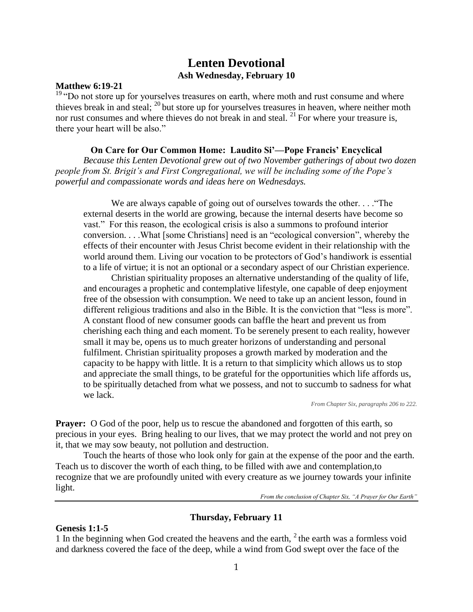## **Lenten Devotional Ash Wednesday, February 10**

#### **Matthew 6:19-21**

<sup>19</sup> "Do not store up for yourselves treasures on earth, where moth and rust consume and where thieves break in and steal; <sup>20</sup> but store up for yourselves treasures in heaven, where neither moth nor rust consumes and where thieves do not break in and steal. <sup>21</sup> For where your treasure is, there your heart will be also."

#### **On Care for Our Common Home: Laudito Si'—Pope Francis' Encyclical**

*Because this Lenten Devotional grew out of two November gatherings of about two dozen people from St. Brigit's and First Congregational, we will be including some of the Pope's powerful and compassionate words and ideas here on Wednesdays.*

We are always capable of going out of ourselves towards the other.... "The external deserts in the world are growing, because the internal deserts have become so vast." For this reason, the ecological crisis is also a summons to profound interior conversion. . . .What [some Christians] need is an "ecological conversion", whereby the effects of their encounter with Jesus Christ become evident in their relationship with the world around them. Living our vocation to be protectors of God's handiwork is essential to a life of virtue; it is not an optional or a secondary aspect of our Christian experience.

Christian spirituality proposes an alternative understanding of the quality of life, and encourages a prophetic and contemplative lifestyle, one capable of deep enjoyment free of the obsession with consumption. We need to take up an ancient lesson, found in different religious traditions and also in the Bible. It is the conviction that "less is more". A constant flood of new consumer goods can baffle the heart and prevent us from cherishing each thing and each moment. To be serenely present to each reality, however small it may be, opens us to much greater horizons of understanding and personal fulfilment. Christian spirituality proposes a growth marked by moderation and the capacity to be happy with little. It is a return to that simplicity which allows us to stop and appreciate the small things, to be grateful for the opportunities which life affords us, to be spiritually detached from what we possess, and not to succumb to sadness for what we lack.

*From Chapter Six, paragraphs 206 to 222.*

**Prayer:** O God of the poor, help us to rescue the abandoned and forgotten of this earth, so precious in your eyes. Bring healing to our lives, that we may protect the world and not prey on it, that we may sow beauty, not pollution and destruction.

Touch the hearts of those who look only for gain at the expense of the poor and the earth. Teach us to discover the worth of each thing, to be filled with awe and contemplation,to recognize that we are profoundly united with every creature as we journey towards your infinite light.

*From the conclusion of Chapter Six, "A Prayer for Our Earth"*

#### **Thursday, February 11**

#### **Genesis 1:1-5**

1 In the beginning when God created the heavens and the earth,  $2$  the earth was a formless void and darkness covered the face of the deep, while a wind from God swept over the face of the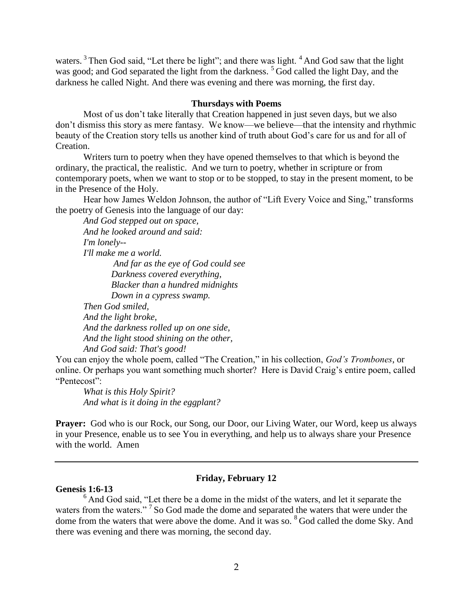waters.<sup>3</sup> Then God said, "Let there be light"; and there was light. <sup>4</sup> And God saw that the light was good; and God separated the light from the darkness.<sup>5</sup> God called the light Day, and the darkness he called Night. And there was evening and there was morning, the first day.

#### **Thursdays with Poems**

Most of us don't take literally that Creation happened in just seven days, but we also don't dismiss this story as mere fantasy. We know—we believe—that the intensity and rhythmic beauty of the Creation story tells us another kind of truth about God's care for us and for all of Creation.

Writers turn to poetry when they have opened themselves to that which is beyond the ordinary, the practical, the realistic. And we turn to poetry, whether in scripture or from contemporary poets, when we want to stop or to be stopped, to stay in the present moment, to be in the Presence of the Holy.

Hear how James Weldon Johnson, the author of "Lift Every Voice and Sing," transforms the poetry of Genesis into the language of our day:

*And God stepped out on space, And he looked around and said: I'm lonely-- I'll make me a world. And far as the eye of God could see Darkness covered everything, Blacker than a hundred midnights Down in a cypress swamp. Then God smiled, And the light broke, And the darkness rolled up on one side, And the light stood shining on the other, And God said: That's good!*

You can enjoy the whole poem, called "The Creation," in his collection, *God's Trombones*, or online. Or perhaps you want something much shorter? Here is David Craig's entire poem, called "Pentecost":

*What is this Holy Spirit? And what is it doing in the eggplant?*

**Prayer:** God who is our Rock, our Song, our Door, our Living Water, our Word, keep us always in your Presence, enable us to see You in everything, and help us to always share your Presence with the world. Amen

#### **Friday, February 12**

#### **Genesis 1:6-13**

 $<sup>6</sup>$  And God said, "Let there be a dome in the midst of the waters, and let it separate the</sup> waters from the waters."<sup>7</sup> So God made the dome and separated the waters that were under the dome from the waters that were above the dome. And it was so. <sup>8</sup> God called the dome Sky. And there was evening and there was morning, the second day.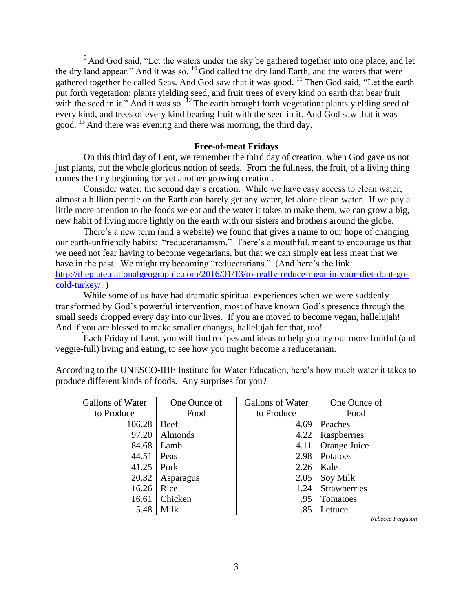<sup>9</sup> And God said, "Let the waters under the sky be gathered together into one place, and let the dry land appear." And it was so. <sup>10</sup> God called the dry land Earth, and the waters that were gathered together he called Seas. And God saw that it was good. <sup>11</sup> Then God said, "Let the earth" put forth vegetation: plants yielding seed, and fruit trees of every kind on earth that bear fruit with the seed in it." And it was so. <sup>12</sup> The earth brought forth vegetation: plants yielding seed of every kind, and trees of every kind bearing fruit with the seed in it. And God saw that it was good. <sup>13</sup> And there was evening and there was morning, the third day.

#### **Free-of-meat Fridays**

On this third day of Lent, we remember the third day of creation, when God gave us not just plants, but the whole glorious notion of seeds. From the fullness, the fruit, of a living thing comes the tiny beginning for yet another growing creation.

Consider water, the second day's creation. While we have easy access to clean water, almost a billion people on the Earth can barely get any water, let alone clean water. If we pay a little more attention to the foods we eat and the water it takes to make them, we can grow a big, new habit of living more lightly on the earth with our sisters and brothers around the globe.

There's a new term (and a website) we found that gives a name to our hope of changing our earth-unfriendly habits: "reducetarianism." There's a mouthful, meant to encourage us that we need not fear having to become vegetarians, but that we can simply eat less meat that we have in the past. We might try becoming "reducetarians." (And here's the link: [http://theplate.nationalgeographic.com/2016/01/13/to-really-reduce-meat-in-your-diet-dont-go](http://theplate.nationalgeographic.com/2016/01/13/to-really-reduce-meat-in-your-diet-dont-go-cold-turkey/)[cold-turkey/.](http://theplate.nationalgeographic.com/2016/01/13/to-really-reduce-meat-in-your-diet-dont-go-cold-turkey/) )

While some of us have had dramatic spiritual experiences when we were suddenly transformed by God's powerful intervention, most of have known God's presence through the small seeds dropped every day into our lives. If you are moved to become vegan, hallelujah! And if you are blessed to make smaller changes, hallelujah for that, too!

Each Friday of Lent, you will find recipes and ideas to help you try out more fruitful (and veggie-full) living and eating, to see how you might become a reducetarian.

| Gallons of Water | One Ounce of | Gallons of Water | One Ounce of        |
|------------------|--------------|------------------|---------------------|
| to Produce       | Food         | to Produce       | Food                |
| 106.28           | <b>Beef</b>  | 4.69             | Peaches             |
| 97.20            | Almonds      | 4.22             | Raspberries         |
| 84.68            | Lamb         | 4.11             | Orange Juice        |
| 44.51            | Peas         | 2.98             | Potatoes            |
| 41.25            | Pork         | 2.26             | Kale                |
| 20.32            | Asparagus    | 2.05             | Soy Milk            |
| 16.26            | Rice         | 1.24             | <b>Strawberries</b> |
| 16.61            | Chicken      | .95              | Tomatoes            |
| 5.48             | Milk         | .85              | Lettuce             |

According to the UNESCO-IHE Institute for Water Education, here's how much water it takes to produce different kinds of foods. Any surprises for you?

*Rebecca Ferguson*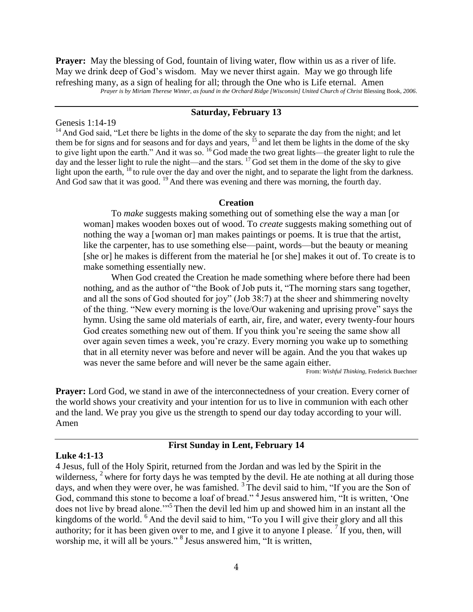**Prayer:** May the blessing of God, fountain of living water, flow within us as a river of life. May we drink deep of God's wisdom. May we never thirst again. May we go through life refreshing many, as a sign of healing for all; through the One who is Life eternal. Amen *Prayer is by Miriam Therese Winter, as found in the Orchard Ridge [Wisconsin] United Church of Christ* Blessing Book, *2006*.

#### **Saturday, February 13**

Genesis 1:14-19  $14$  And God said, "Let there be lights in the dome of the sky to separate the day from the night; and let them be for signs and for seasons and for days and years, <sup>15</sup> and let them be lights in the dome of the sky to give light upon the earth." And it was so. <sup>16</sup> God made the two great lights—the greater light to rule the day and the lesser light to rule the night—and the stars. <sup>17</sup> God set them in the dome of the sky to give light upon the earth, <sup>18</sup> to rule over the day and over the night, and to separate the light from the darkness. And God saw that it was good. <sup>19</sup> And there was evening and there was morning, the fourth day.

#### **Creation**

To *make* suggests making something out of something else the way a man [or woman] makes wooden boxes out of wood. To *create* suggests making something out of nothing the way a [woman or] man makes paintings or poems. It is true that the artist, like the carpenter, has to use something else—paint, words—but the beauty or meaning [she or] he makes is different from the material he [or she] makes it out of. To create is to make something essentially new.

When God created the Creation he made something where before there had been nothing, and as the author of "the Book of Job puts it, "The morning stars sang together, and all the sons of God shouted for joy" (Job 38:7) at the sheer and shimmering novelty of the thing. "New every morning is the love/Our wakening and uprising prove" says the hymn. Using the same old materials of earth, air, fire, and water, every twenty-four hours God creates something new out of them. If you think you're seeing the same show all over again seven times a week, you're crazy. Every morning you wake up to something that in all eternity never was before and never will be again. And the you that wakes up was never the same before and will never be the same again either.

From: *Wishful Thinking,* Frederick Buechner

**Prayer:** Lord God, we stand in awe of the interconnectedness of your creation. Every corner of the world shows your creativity and your intention for us to live in communion with each other and the land. We pray you give us the strength to spend our day today according to your will. Amen

#### **First Sunday in Lent, February 14**

#### **Luke 4:1-13**

4 Jesus, full of the Holy Spirit, returned from the Jordan and was led by the Spirit in the wilderness,  $<sup>2</sup>$  where for forty days he was tempted by the devil. He ate nothing at all during those</sup> days, and when they were over, he was famished. <sup>3</sup> The devil said to him, "If you are the Son of God, command this stone to become a loaf of bread."<sup>4</sup> Jesus answered him, "It is written, 'One does not live by bread alone.<sup>""5</sup> Then the devil led him up and showed him in an instant all the kingdoms of the world. <sup>6</sup> And the devil said to him, "To you I will give their glory and all this authority; for it has been given over to me, and I give it to anyone I please. <sup>7</sup> If you, then, will worship me, it will all be yours."<sup>8</sup> Jesus answered him, "It is written,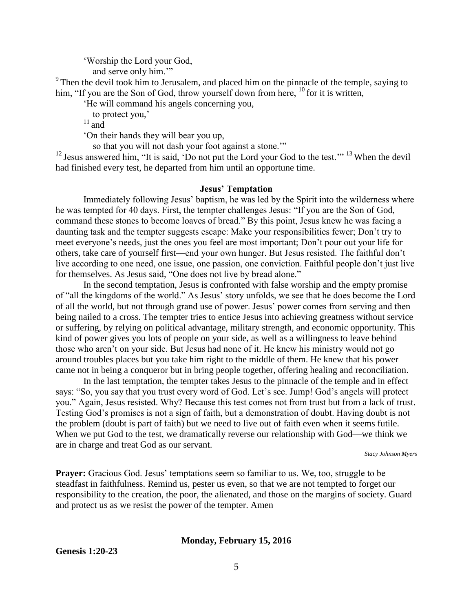'Worship the Lord your God,

and serve only him.'"

 $9$  Then the devil took him to Jerusalem, and placed him on the pinnacle of the temple, saying to him, "If you are the Son of God, throw yourself down from here, <sup>10</sup> for it is written,

'He will command his angels concerning you,

to protect you,'

 $11$  and

'On their hands they will bear you up,

so that you will not dash your foot against a stone.'"

 $12$  Jesus answered him, "It is said, 'Do not put the Lord your God to the test."<sup>3</sup> When the devil had finished every test, he departed from him until an opportune time.

#### **Jesus' Temptation**

Immediately following Jesus' baptism, he was led by the Spirit into the wilderness where he was tempted for 40 days. First, the tempter challenges Jesus: "If you are the Son of God, command these stones to become loaves of bread." By this point, Jesus knew he was facing a daunting task and the tempter suggests escape: Make your responsibilities fewer; Don't try to meet everyone's needs, just the ones you feel are most important; Don't pour out your life for others, take care of yourself first—end your own hunger. But Jesus resisted. The faithful don't live according to one need, one issue, one passion, one conviction. Faithful people don't just live for themselves. As Jesus said, "One does not live by bread alone."

In the second temptation, Jesus is confronted with false worship and the empty promise of "all the kingdoms of the world." As Jesus' story unfolds, we see that he does become the Lord of all the world, but not through grand use of power. Jesus' power comes from serving and then being nailed to a cross. The tempter tries to entice Jesus into achieving greatness without service or suffering, by relying on political advantage, military strength, and economic opportunity. This kind of power gives you lots of people on your side, as well as a willingness to leave behind those who aren't on your side. But Jesus had none of it. He knew his ministry would not go around troubles places but you take him right to the middle of them. He knew that his power came not in being a conqueror but in bring people together, offering healing and reconciliation.

In the last temptation, the tempter takes Jesus to the pinnacle of the temple and in effect says: "So, you say that you trust every word of God. Let's see. Jump! God's angels will protect you." Again, Jesus resisted. Why? Because this test comes not from trust but from a lack of trust. Testing God's promises is not a sign of faith, but a demonstration of doubt. Having doubt is not the problem (doubt is part of faith) but we need to live out of faith even when it seems futile. When we put God to the test, we dramatically reverse our relationship with God—we think we are in charge and treat God as our servant.

*Stacy Johnson Myers*

**Prayer:** Gracious God. Jesus' temptations seem so familiar to us. We, too, struggle to be steadfast in faithfulness. Remind us, pester us even, so that we are not tempted to forget our responsibility to the creation, the poor, the alienated, and those on the margins of society. Guard and protect us as we resist the power of the tempter. Amen

**Monday, February 15, 2016**

**Genesis 1:20-23**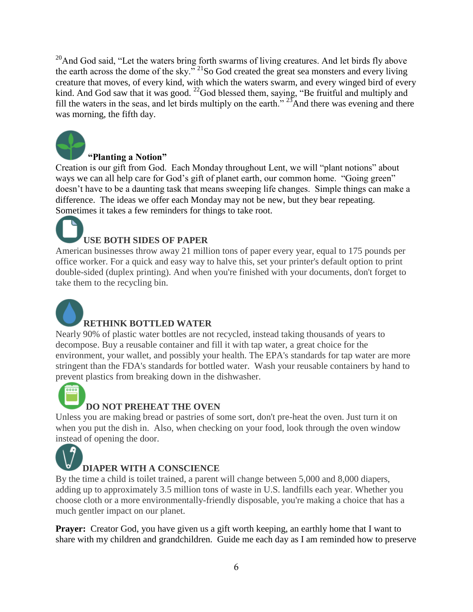<sup>20</sup>And God said, "Let the waters bring forth swarms of living creatures. And let birds fly above the earth across the dome of the sky."<sup>21</sup>So God created the great sea monsters and every living creature that moves, of every kind, with which the waters swarm, and every winged bird of every kind. And God saw that it was good. <sup>22</sup>God blessed them, saying, "Be fruitful and multiply and fill the waters in the seas, and let birds multiply on the earth."  $23$  And there was evening and there was morning, the fifth day.



## **"Planting a Notion"**

Creation is our gift from God. Each Monday throughout Lent, we will "plant notions" about ways we can all help care for God's gift of planet earth, our common home. "Going green" doesn't have to be a daunting task that means sweeping life changes. Simple things can make a difference. The ideas we offer each Monday may not be new, but they bear repeating. Sometimes it takes a few reminders for things to take root.

## **USE BOTH SIDES OF PAPER**

American businesses throw away 21 million tons of paper every year, equal to 175 pounds per office worker. For a quick and easy way to halve this, set your printer's default option to print double-sided (duplex printing). And when you're finished with your documents, don't forget to take them to the recycling bin.



## **RETHINK BOTTLED WATER**

Nearly 90% of plastic water bottles are not recycled, instead taking thousands of years to decompose. Buy a reusable container and fill it with tap water, a great choice for the environment, your wallet, and possibly your health. The EPA's standards for tap water are more stringent than the FDA's standards for bottled water. Wash your reusable containers by hand to prevent plastics from breaking down in the dishwasher.



## **DO NOT PREHEAT THE OVEN**

Unless you are making bread or pastries of some sort, don't pre-heat the oven. Just turn it on when you put the dish in. Also, when checking on your food, look through the oven window instead of opening the door.



## **DIAPER WITH A CONSCIENCE**

By the time a child is toilet trained, a parent will change between 5,000 and 8,000 diapers, adding up to approximately 3.5 million tons of waste in U.S. landfills each year. Whether you choose cloth or a more environmentally-friendly disposable, you're making a choice that has a much gentler impact on our planet.

**Prayer:** Creator God, you have given us a gift worth keeping, an earthly home that I want to share with my children and grandchildren. Guide me each day as I am reminded how to preserve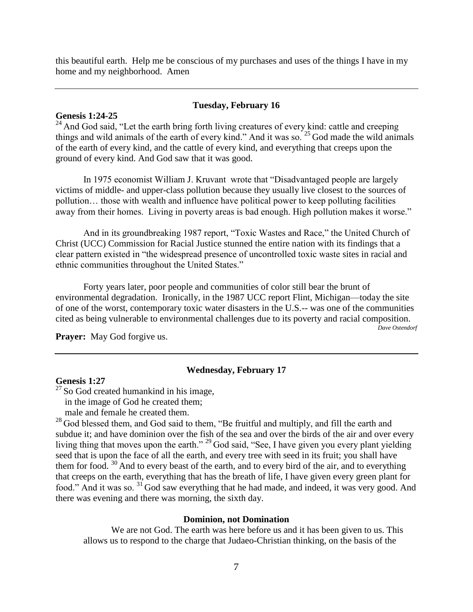this beautiful earth. Help me be conscious of my purchases and uses of the things I have in my home and my neighborhood. Amen

#### **Tuesday, February 16**

#### **Genesis 1:24-25**

<sup>24</sup> And God said, "Let the earth bring forth living creatures of every kind: cattle and creeping things and wild animals of the earth of every kind." And it was so. <sup>25</sup> God made the wild animals of the earth of every kind, and the cattle of every kind, and everything that creeps upon the ground of every kind. And God saw that it was good.

In 1975 economist William J. Kruvant wrote that "Disadvantaged people are largely victims of middle- and upper-class pollution because they usually live closest to the sources of pollution… those with wealth and influence have political power to keep polluting facilities away from their homes. Living in poverty areas is bad enough. High pollution makes it worse."

And in its groundbreaking 1987 report, "Toxic Wastes and Race," the United Church of Christ (UCC) Commission for Racial Justice stunned the entire nation with its findings that a clear pattern existed in "the widespread presence of uncontrolled toxic waste sites in racial and ethnic communities throughout the United States."

Forty years later, poor people and communities of color still bear the brunt of environmental degradation. Ironically, in the 1987 UCC report Flint, Michigan—today the site of one of the worst, contemporary toxic water disasters in the U.S.-- was one of the communities cited as being vulnerable to environmental challenges due to its poverty and racial composition. *Dave Ostendorf*

**Prayer:** May God forgive us.

#### **Wednesday, February 17**

#### **Genesis 1:27**

 $27$  So God created humankind in his image,

in the image of God he created them;

male and female he created them.

<sup>28</sup> God blessed them, and God said to them, "Be fruitful and multiply, and fill the earth and subdue it; and have dominion over the fish of the sea and over the birds of the air and over every living thing that moves upon the earth." <sup>29</sup> God said, "See, I have given you every plant yielding seed that is upon the face of all the earth, and every tree with seed in its fruit; you shall have them for food. <sup>30</sup> And to every beast of the earth, and to every bird of the air, and to everything that creeps on the earth, everything that has the breath of life, I have given every green plant for food." And it was so. <sup>31</sup> God saw everything that he had made, and indeed, it was very good. And there was evening and there was morning, the sixth day.

#### **Dominion, not Domination**

We are not God. The earth was here before us and it has been given to us. This allows us to respond to the charge that Judaeo-Christian thinking, on the basis of the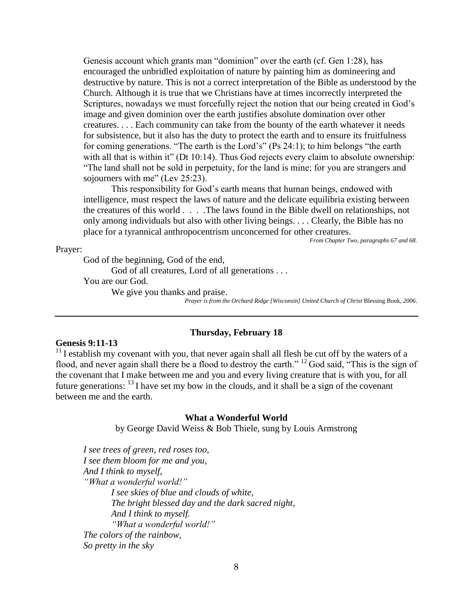Genesis account which grants man "dominion" over the earth (cf. Gen 1:28), has encouraged the unbridled exploitation of nature by painting him as domineering and destructive by nature. This is not a correct interpretation of the Bible as understood by the Church. Although it is true that we Christians have at times incorrectly interpreted the Scriptures, nowadays we must forcefully reject the notion that our being created in God's image and given dominion over the earth justifies absolute domination over other creatures. . . . Each community can take from the bounty of the earth whatever it needs for subsistence, but it also has the duty to protect the earth and to ensure its fruitfulness for coming generations. "The earth is the Lord's" (Ps 24:1); to him belongs "the earth with all that is within it" (Dt 10:14). Thus God rejects every claim to absolute ownership: "The land shall not be sold in perpetuity, for the land is mine; for you are strangers and sojourners with me" (Lev 25:23).

This responsibility for God's earth means that human beings, endowed with intelligence, must respect the laws of nature and the delicate equilibria existing between the creatures of this world . . . .The laws found in the Bible dwell on relationships, not only among individuals but also with other living beings. . . . Clearly, the Bible has no place for a tyrannical anthropocentrism unconcerned for other creatures.

*From Chapter Two, paragraphs 67 and 68.*

#### Prayer:

God of the beginning, God of the end,

God of all creatures, Lord of all generations . . .

You are our God.

We give you thanks and praise.

*Prayer is from the Orchard Ridge [Wisconsin] United Church of Christ* Blessing Book, *2006*.

#### **Genesis 9:11-13**

#### **Thursday, February 18**

 $11$  I establish my covenant with you, that never again shall all flesh be cut off by the waters of a flood, and never again shall there be a flood to destroy the earth." <sup>12</sup> God said, "This is the sign of the covenant that I make between me and you and every living creature that is with you, for all future generations:  $13$  I have set my bow in the clouds, and it shall be a sign of the covenant between me and the earth.

#### **What a Wonderful World**

by George David Weiss & Bob Thiele, sung by [Louis Armstrong](https://www.google.com/search?rlz=1T4GZAG_enUS448US449&q=louis+armstrong&stick=H4sIAAAAAAAAAONgVuLQz9U3MMkzNgIAs0gbiAwAAAA&sa=X&ved=0ahUKEwi82Yz129vKAhUKPD4KHVUXAyMQMQgfMAA)

*I see trees of green, red roses too, I see them bloom for me and you, And I think to myself, "What a wonderful world!" I see skies of blue and clouds of white, The bright blessed day and the dark sacred night, And I think to myself. "What a wonderful world!" The colors of the rainbow, So pretty in the sky*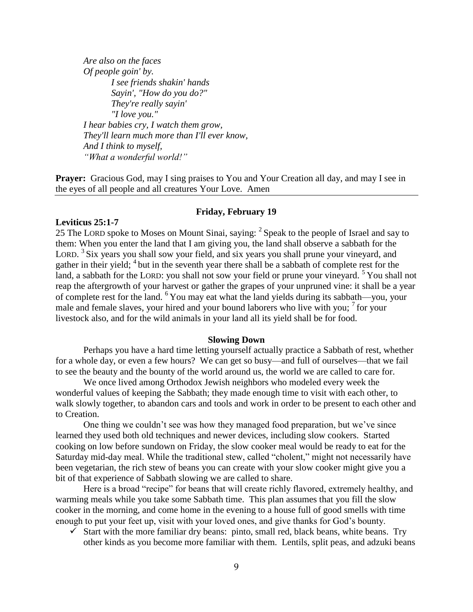*Are also on the faces Of people goin' by. I see friends shakin' hands Sayin', "How do you do?" They're really sayin' "I love you." I hear babies cry, I watch them grow, They'll learn much more than I'll ever know, And I think to myself, "What a wonderful world!"*

**Prayer:** Gracious God, may I sing praises to You and Your Creation all day, and may I see in the eyes of all people and all creatures Your Love. Amen

#### **Friday, February 19**

#### **Leviticus 25:1-7**

25 The LORD spoke to Moses on Mount Sinai, saying:  $2$  Speak to the people of Israel and say to them: When you enter the land that I am giving you, the land shall observe a sabbath for the LORD.<sup>3</sup> Six years you shall sow your field, and six years you shall prune your vineyard, and gather in their yield; <sup>4</sup> but in the seventh year there shall be a sabbath of complete rest for the land, a sabbath for the LORD: you shall not sow your field or prune your vineyard. <sup>5</sup> You shall not reap the aftergrowth of your harvest or gather the grapes of your unpruned vine: it shall be a year of complete rest for the land. <sup>6</sup> You may eat what the land yields during its sabbath—you, your male and female slaves, your hired and your bound laborers who live with you;  $\frac{7}{1}$  for your livestock also, and for the wild animals in your land all its yield shall be for food.

#### **Slowing Down**

Perhaps you have a hard time letting yourself actually practice a Sabbath of rest, whether for a whole day, or even a few hours? We can get so busy—and full of ourselves—that we fail to see the beauty and the bounty of the world around us, the world we are called to care for.

We once lived among Orthodox Jewish neighbors who modeled every week the wonderful values of keeping the Sabbath; they made enough time to visit with each other, to walk slowly together, to abandon cars and tools and work in order to be present to each other and to Creation.

One thing we couldn't see was how they managed food preparation, but we've since learned they used both old techniques and newer devices, including slow cookers. Started cooking on low before sundown on Friday, the slow cooker meal would be ready to eat for the Saturday mid-day meal. While the traditional stew, called "cholent," might not necessarily have been vegetarian, the rich stew of beans you can create with your slow cooker might give you a bit of that experience of Sabbath slowing we are called to share.

Here is a broad "recipe" for beans that will create richly flavored, extremely healthy, and warming meals while you take some Sabbath time. This plan assumes that you fill the slow cooker in the morning, and come home in the evening to a house full of good smells with time enough to put your feet up, visit with your loved ones, and give thanks for God's bounty.

 $\checkmark$  Start with the more familiar dry beans: pinto, small red, black beans, white beans. Try other kinds as you become more familiar with them. Lentils, split peas, and adzuki beans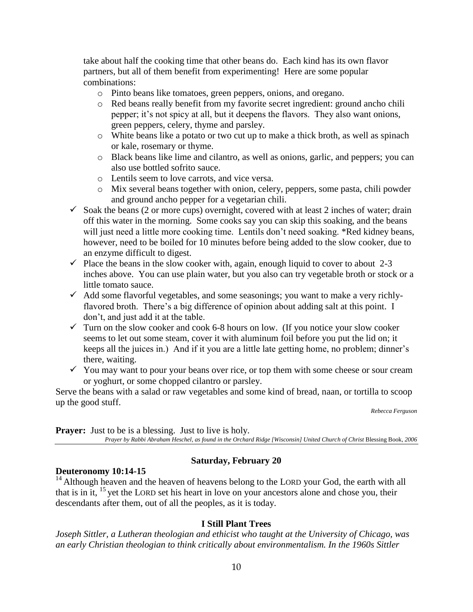take about half the cooking time that other beans do. Each kind has its own flavor partners, but all of them benefit from experimenting! Here are some popular combinations:

- o Pinto beans like tomatoes, green peppers, onions, and oregano.
- o Red beans really benefit from my favorite secret ingredient: ground ancho chili pepper; it's not spicy at all, but it deepens the flavors. They also want onions, green peppers, celery, thyme and parsley.
- o White beans like a potato or two cut up to make a thick broth, as well as spinach or kale, rosemary or thyme.
- o Black beans like lime and cilantro, as well as onions, garlic, and peppers; you can also use bottled sofrito sauce.
- o Lentils seem to love carrots, and vice versa.
- o Mix several beans together with onion, celery, peppers, some pasta, chili powder and ground ancho pepper for a vegetarian chili.
- $\checkmark$  Soak the beans (2 or more cups) overnight, covered with at least 2 inches of water; drain off this water in the morning. Some cooks say you can skip this soaking, and the beans will just need a little more cooking time. Lentils don't need soaking. \*Red kidney beans, however, need to be boiled for 10 minutes before being added to the slow cooker, due to an enzyme difficult to digest.
- $\checkmark$  Place the beans in the slow cooker with, again, enough liquid to cover to about 2-3 inches above. You can use plain water, but you also can try vegetable broth or stock or a little tomato sauce.
- $\checkmark$  Add some flavorful vegetables, and some seasonings; you want to make a very richlyflavored broth. There's a big difference of opinion about adding salt at this point. I don't, and just add it at the table.
- $\checkmark$  Turn on the slow cooker and cook 6-8 hours on low. (If you notice your slow cooker seems to let out some steam, cover it with aluminum foil before you put the lid on; it keeps all the juices in.) And if it you are a little late getting home, no problem; dinner's there, waiting.
- $\checkmark$  You may want to pour your beans over rice, or top them with some cheese or sour cream or yoghurt, or some chopped cilantro or parsley.

Serve the beans with a salad or raw vegetables and some kind of bread, naan, or tortilla to scoop up the good stuff.

*Rebecca Ferguson*

**Prayer:** Just to be is a blessing. Just to live is holy. *Prayer by Rabbi Abraham Heschel, as found in the Orchard Ridge [Wisconsin] United Church of Christ Blessing Book, 2006* 

#### **Deuteronomy 10:14-15**

#### **Saturday, February 20**

<sup>14</sup> Although heaven and the heaven of heavens belong to the LORD your God, the earth with all that is in it, <sup>15</sup> yet the LORD set his heart in love on your ancestors alone and chose you, their descendants after them, out of all the peoples, as it is today.

#### **I Still Plant Trees**

*Joseph Sittler, a Lutheran theologian and ethicist who taught at the University of Chicago, was an early Christian theologian to think critically about environmentalism. In the 1960s Sittler*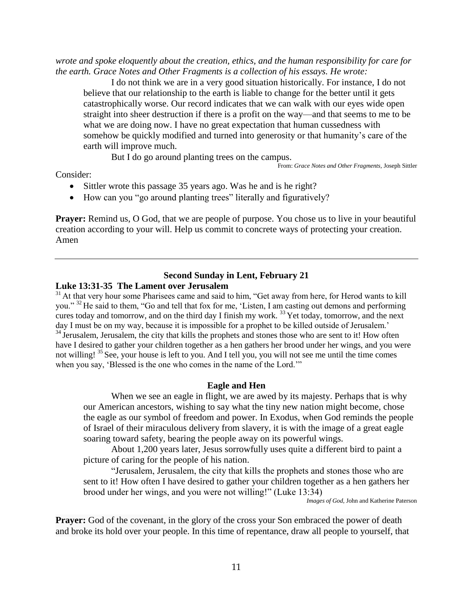*wrote and spoke eloquently about the creation, ethics, and the human responsibility for care for the earth. Grace Notes and Other Fragments is a collection of his essays. He wrote:*

I do not think we are in a very good situation historically. For instance, I do not believe that our relationship to the earth is liable to change for the better until it gets catastrophically worse. Our record indicates that we can walk with our eyes wide open straight into sheer destruction if there is a profit on the way—and that seems to me to be what we are doing now. I have no great expectation that human cussedness with somehow be quickly modified and turned into generosity or that humanity's care of the earth will improve much.

But I do go around planting trees on the campus.

From: *Grace Notes and Other Fragments,* Joseph Sittler

Consider:

- Sittler wrote this passage 35 years ago. Was he and is he right?
- How can you "go around planting trees" literally and figuratively?

**Prayer:** Remind us, O God, that we are people of purpose. You chose us to live in your beautiful creation according to your will. Help us commit to concrete ways of protecting your creation. Amen

#### **Second Sunday in Lent, February 21**

#### **Luke 13:31-35 The Lament over Jerusalem**

<sup>31</sup> At that very hour some Pharisees came and said to him, "Get away from here, for Herod wants to kill you." <sup>32</sup> He said to them, "Go and tell that fox for me, 'Listen, I am casting out demons and performing cures today and tomorrow, and on the third day I finish my work.  $33$  Yet today, tomorrow, and the next day I must be on my way, because it is impossible for a prophet to be killed outside of Jerusalem.' <sup>34</sup> Jerusalem, Jerusalem, the city that kills the prophets and stones those who are sent to it! How often have I desired to gather your children together as a hen gathers her brood under her wings, and you were not willing! <sup>35</sup> See, your house is left to you. And I tell you, you will not see me until the time comes when you say, 'Blessed is the one who comes in the name of the Lord.'"

#### **Eagle and Hen**

When we see an eagle in flight, we are awed by its majesty. Perhaps that is why our American ancestors, wishing to say what the tiny new nation might become, chose the eagle as our symbol of freedom and power. In Exodus, when God reminds the people of Israel of their miraculous delivery from slavery, it is with the image of a great eagle soaring toward safety, bearing the people away on its powerful wings.

About 1,200 years later, Jesus sorrowfully uses quite a different bird to paint a picture of caring for the people of his nation.

"Jerusalem, Jerusalem, the city that kills the prophets and stones those who are sent to it! How often I have desired to gather your children together as a hen gathers her brood under her wings, and you were not willing!" (Luke 13:34)

*Images of God,* John and Katherine Paterson

**Prayer:** God of the covenant, in the glory of the cross your Son embraced the power of death and broke its hold over your people. In this time of repentance, draw all people to yourself, that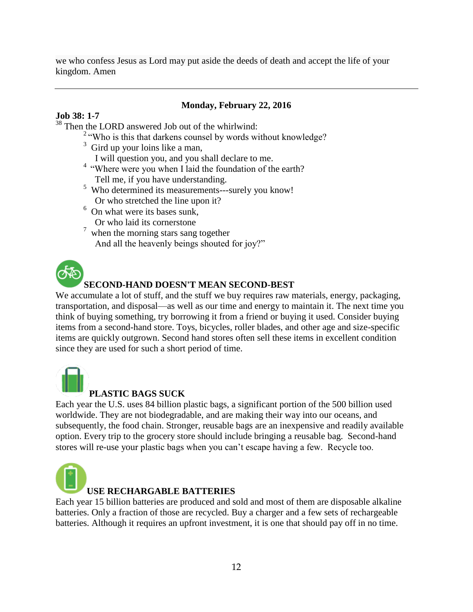we who confess Jesus as Lord may put aside the deeds of death and accept the life of your kingdom. Amen

### **Monday, February 22, 2016**

### **Job 38: 1-7**

<sup>38</sup> Then the LORD answered Job out of the whirlwind:

- <sup>2</sup> "Who is this that darkens counsel by words without knowledge?
- $3$  Gird up your loins like a man,
- I will question you, and you shall declare to me.
- <sup>4</sup> "Where were you when I laid the foundation of the earth? Tell me, if you have understanding.
- <sup>5</sup> Who determined its measurements---surely you know! Or who stretched the line upon it?
- <sup>6</sup> On what were its bases sunk,
	- Or who laid its cornerstone
- $\frac{7}{1}$  when the morning stars sang together And all the heavenly beings shouted for joy?"



## **SECOND-HAND DOESN'T MEAN SECOND-BEST**

We accumulate a lot of stuff, and the stuff we buy requires raw materials, energy, packaging, transportation, and disposal—as well as our time and energy to maintain it. The next time you think of buying something, try borrowing it from a friend or buying it used. Consider buying items from a second-hand store. Toys, bicycles, roller blades, and other age and size-specific items are quickly outgrown. Second hand stores often sell these items in excellent condition since they are used for such a short period of time.



## **PLASTIC BAGS SUCK**

Each year the U.S. uses 84 billion plastic bags, a significant portion of the 500 billion used worldwide. They are not biodegradable, and are making their way into our oceans, and subsequently, the food chain. Stronger, reusable bags are an inexpensive and readily available option. Every trip to the grocery store should include bringing a reusable bag. Second-hand stores will re-use your plastic bags when you can't escape having a few. Recycle too.



## **USE RECHARGABLE BATTERIES**

Each year 15 billion batteries are produced and sold and most of them are disposable alkaline batteries. Only a fraction of those are recycled. Buy a charger and a few sets of rechargeable batteries. Although it requires an upfront investment, it is one that should pay off in no time.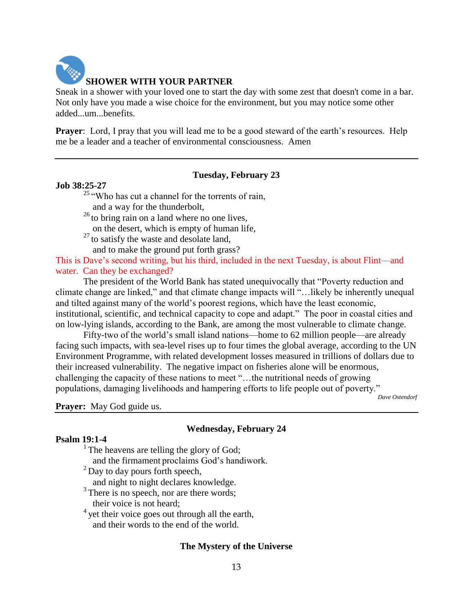

Sneak in a shower with your loved one to start the day with some zest that doesn't come in a bar. Not only have you made a wise choice for the environment, but you may notice some other added...um...benefits.

**Prayer:** Lord, I pray that you will lead me to be a good steward of the earth's resources. Help me be a leader and a teacher of environmental consciousness. Amen

#### **Tuesday, February 23**

#### **Job 38:25-27**

 $25$  "Who has cut a channel for the torrents of rain, and a way for the thunderbolt,

 $26$  to bring rain on a land where no one lives, on the desert, which is empty of human life,

 $27$  to satisfy the waste and desolate land, and to make the ground put forth grass?

This is Dave's second writing, but his third, included in the next Tuesday, is about Flint—and water. Can they be exchanged?

The president of the World Bank has stated unequivocally that "Poverty reduction and climate change are linked," and that climate change impacts will "…likely be inherently unequal and tilted against many of the world's poorest regions, which have the least economic, institutional, scientific, and technical capacity to cope and adapt." The poor in coastal cities and on low-lying islands, according to the Bank, are among the most vulnerable to climate change.

Fifty-two of the world's small island nations—home to 62 million people—are already facing such impacts, with sea-level rises up to four times the global average, according to the UN Environment Programme, with related development losses measured in trillions of dollars due to their increased vulnerability. The negative impact on fisheries alone will be enormous, challenging the capacity of these nations to meet "…the nutritional needs of growing populations, damaging livelihoods and hampering efforts to life people out of poverty." *Dave Ostendorf*

**Prayer:** May God guide us.

#### **Wednesday, February 24**

#### **Psalm 19:1-4**

<sup>1</sup> The heavens are telling the glory of God;

and the firmament proclaims God's handiwork.

 $^{2}$  Day to day pours forth speech,

and night to night declares knowledge.

<sup>3</sup> There is no speech, nor are there words; their voice is not heard;

 $4$  yet their voice goes out through all the earth,

and their words to the end of the world.

### **The Mystery of the Universe**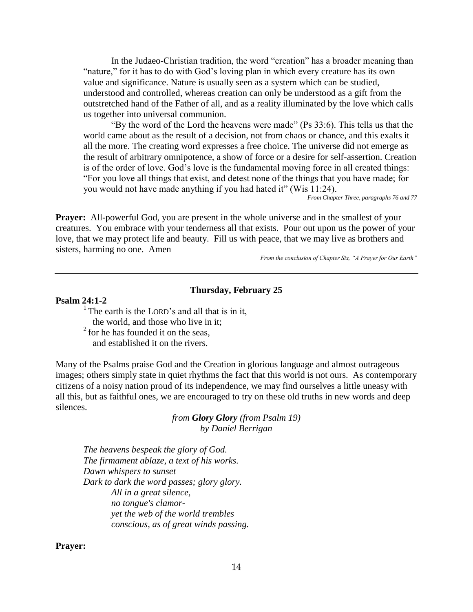In the Judaeo-Christian tradition, the word "creation" has a broader meaning than "nature," for it has to do with God's loving plan in which every creature has its own value and significance. Nature is usually seen as a system which can be studied, understood and controlled, whereas creation can only be understood as a gift from the outstretched hand of the Father of all, and as a reality illuminated by the love which calls us together into universal communion.

"By the word of the Lord the heavens were made" (Ps 33:6). This tells us that the world came about as the result of a decision, not from chaos or chance, and this exalts it all the more. The creating word expresses a free choice. The universe did not emerge as the result of arbitrary omnipotence, a show of force or a desire for self-assertion. Creation is of the order of love. God's love is the fundamental moving force in all created things: "For you love all things that exist, and detest none of the things that you have made; for you would not have made anything if you had hated it" (Wis 11:24).

*From Chapter Three, paragraphs 76 and 77*

**Prayer:** All-powerful God, you are present in the whole universe and in the smallest of your creatures. You embrace with your tenderness all that exists. Pour out upon us the power of your love, that we may protect life and beauty. Fill us with peace, that we may live as brothers and sisters, harming no one. Amen

*From the conclusion of Chapter Six, "A Prayer for Our Earth"*

#### **Thursday, February 25**

#### **Psalm 24:1-2**

<sup>1</sup> The earth is the LORD's and all that is in it,

the world, and those who live in it;

 $2^{2}$  for he has founded it on the seas, and established it on the rivers.

Many of the Psalms praise God and the Creation in glorious language and almost outrageous images; others simply state in quiet rhythms the fact that this world is not ours. As contemporary citizens of a noisy nation proud of its independence, we may find ourselves a little uneasy with all this, but as faithful ones, we are encouraged to try on these old truths in new words and deep silences.

> *from Glory Glory (from Psalm 19) by Daniel Berrigan*

*The heavens bespeak the glory of God. The firmament ablaze, a text of his works. Dawn whispers to sunset Dark to dark the word passes; glory glory. All in a great silence, no tongue's clamoryet the web of the world trembles conscious, as of great winds passing.*

#### **Prayer:**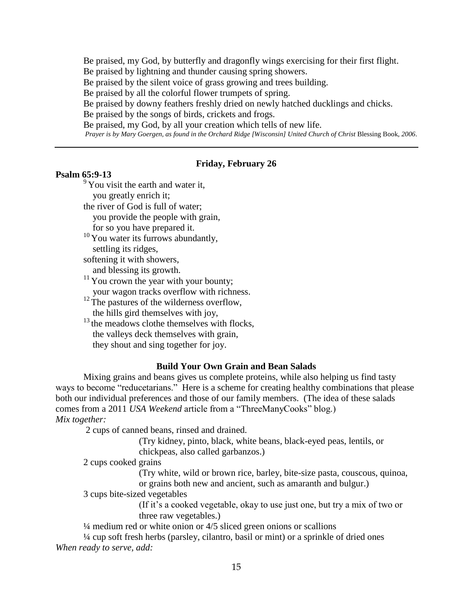Be praised, my God, by butterfly and dragonfly wings exercising for their first flight. Be praised by lightning and thunder causing spring showers. Be praised by the silent voice of grass growing and trees building. Be praised by all the colorful flower trumpets of spring. Be praised by downy feathers freshly dried on newly hatched ducklings and chicks. Be praised by the songs of birds, crickets and frogs. Be praised, my God, by all your creation which tells of new life. *Prayer is by Mary Goergen, as found in the Orchard Ridge [Wisconsin] United Church of Christ* Blessing Book, *2006*.

#### **Friday, February 26**

#### **Psalm 65:9-13**

 $9^9$  You visit the earth and water it,

you greatly enrich it;

the river of God is full of water;

you provide the people with grain,

for so you have prepared it.

<sup>10</sup> You water its furrows abundantly, settling its ridges,

softening it with showers,

and blessing its growth.

 $11$  You crown the year with your bounty; your wagon tracks overflow with richness.

 $12$ <sup>12</sup> The pastures of the wilderness overflow,

the hills gird themselves with joy,

<sup>13</sup> the meadows clothe themselves with flocks, the valleys deck themselves with grain, they shout and sing together for joy.

#### **Build Your Own Grain and Bean Salads**

Mixing grains and beans gives us complete proteins, while also helping us find tasty ways to become "reducetarians." Here is a scheme for creating healthy combinations that please both our individual preferences and those of our family members. (The idea of these salads comes from a 2011 *USA Weekend* article from a "ThreeManyCooks" blog.) *Mix together:*

2 cups of canned beans, rinsed and drained.

(Try kidney, pinto, black, white beans, black-eyed peas, lentils, or chickpeas, also called garbanzos.)

#### 2 cups cooked grains

(Try white, wild or brown rice, barley, bite-size pasta, couscous, quinoa, or grains both new and ancient, such as amaranth and bulgur.)

3 cups bite-sized vegetables

(If it's a cooked vegetable, okay to use just one, but try a mix of two or three raw vegetables.)

¼ medium red or white onion or 4/5 sliced green onions or scallions

¼ cup soft fresh herbs (parsley, cilantro, basil or mint) or a sprinkle of dried ones *When ready to serve, add:*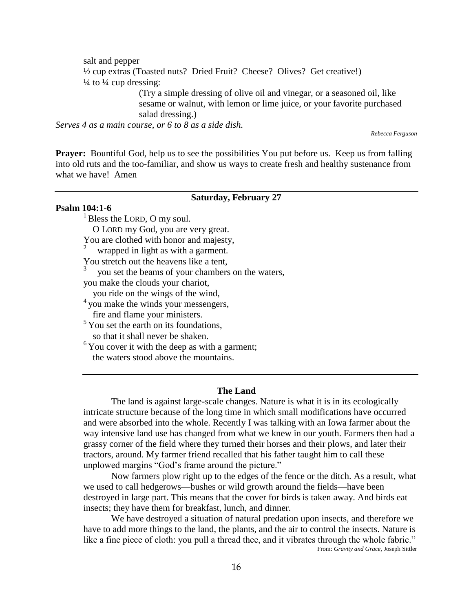salt and pepper ½ cup extras (Toasted nuts? Dried Fruit? Cheese? Olives? Get creative!)  $\frac{1}{4}$  to  $\frac{1}{4}$  cup dressing: (Try a simple dressing of olive oil and vinegar, or a seasoned oil, like

sesame or walnut, with lemon or lime juice, or your favorite purchased salad dressing.)

*Serves 4 as a main course, or 6 to 8 as a side dish.*

*Rebecca Ferguson*

**Prayer:** Bountiful God, help us to see the possibilities You put before us. Keep us from falling into old ruts and the too-familiar, and show us ways to create fresh and healthy sustenance from what we have! Amen

#### **Saturday, February 27**

#### **Psalm 104:1-6**

 $<sup>1</sup>$  Bless the LORD, O my soul.</sup>

O LORD my God, you are very great.

You are clothed with honor and majesty,

2 wrapped in light as with a garment.

You stretch out the heavens like a tent,

3 you set the beams of your chambers on the waters,

you make the clouds your chariot,

you ride on the wings of the wind,

<sup>4</sup> you make the winds your messengers, fire and flame your ministers.

 $<sup>5</sup>$  You set the earth on its foundations,</sup>

so that it shall never be shaken.

 $6$  You cover it with the deep as with a garment;

the waters stood above the mountains.

#### **The Land**

The land is against large-scale changes. Nature is what it is in its ecologically intricate structure because of the long time in which small modifications have occurred and were absorbed into the whole. Recently I was talking with an Iowa farmer about the way intensive land use has changed from what we knew in our youth. Farmers then had a grassy corner of the field where they turned their horses and their plows, and later their tractors, around. My farmer friend recalled that his father taught him to call these unplowed margins "God's frame around the picture."

Now farmers plow right up to the edges of the fence or the ditch. As a result, what we used to call hedgerows—bushes or wild growth around the fields—have been destroyed in large part. This means that the cover for birds is taken away. And birds eat insects; they have them for breakfast, lunch, and dinner.

We have destroyed a situation of natural predation upon insects, and therefore we have to add more things to the land, the plants, and the air to control the insects. Nature is like a fine piece of cloth: you pull a thread thee, and it vibrates through the whole fabric."

From: *Gravity and Grace,* Joseph Sittler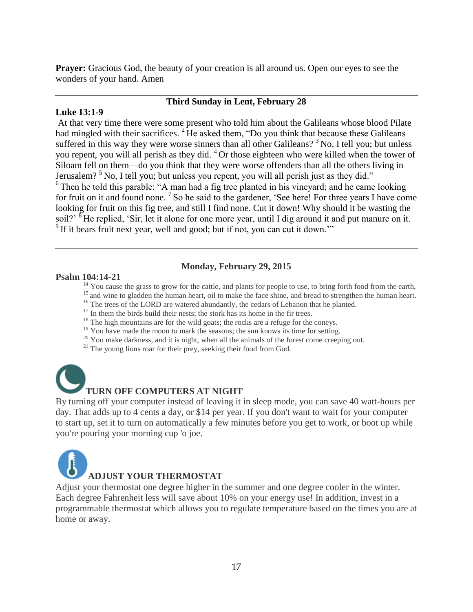**Prayer:** Gracious God, the beauty of your creation is all around us. Open our eyes to see the wonders of your hand. Amen

#### **Third Sunday in Lent, February 28**

#### **Luke 13:1-9**

At that very time there were some present who told him about the Galileans whose blood Pilate had mingled with their sacrifices.  ${}^{2}$  He asked them, "Do you think that because these Galileans suffered in this way they were worse sinners than all other Galileans?  $3^3$  No, I tell you; but unless you repent, you will all perish as they did. <sup>4</sup> Or those eighteen who were killed when the tower of Siloam fell on them—do you think that they were worse offenders than all the others living in Jerusalem?  $5$  No, I tell you; but unless you repent, you will all perish just as they did." <sup>6</sup> Then he told this parable: "A man had a fig tree planted in his vineyard; and he came looking for fruit on it and found none.<sup>7</sup> So he said to the gardener, 'See here! For three years I have come looking for fruit on this fig tree, and still I find none. Cut it down! Why should it be wasting the soil?' <sup>8</sup> He replied, 'Sir, let it alone for one more year, until I dig around it and put manure on it. <sup>9</sup> If it bears fruit next year, well and good; but if not, you can cut it down."

#### **Monday, February 29, 2015**

#### **Psalm 104:14-21**

- $14$  You cause the grass to grow for the cattle, and plants for people to use, to bring forth food from the earth,
- <sup>15</sup> and wine to gladden the human heart, oil to make the face shine, and bread to strengthen the human heart.
- <sup>16</sup> The trees of the LORD are watered abundantly, the cedars of Lebanon that he planted.
- $17$  In them the birds build their nests; the stork has its home in the fir trees.
- $18$  The high mountains are for the wild goats; the rocks are a refuge for the coneys.
- $19$  You have made the moon to mark the seasons; the sun knows its time for setting.
- $20$  You make darkness, and it is night, when all the animals of the forest come creeping out.
- $21$  The young lions roar for their prey, seeking their food from God.

## **TURN OFF COMPUTERS AT NIGHT**

By turning off your computer instead of leaving it in sleep mode, you can save 40 watt-hours per day. That adds up to 4 cents a day, or \$14 per year. If you don't want to wait for your computer to start up, set it to turn on automatically a few minutes before you get to work, or boot up while you're pouring your morning cup 'o joe.



### **ADJUST YOUR THERMOSTAT**

Adjust your thermostat one degree higher in the summer and one degree cooler in the winter. Each degree Fahrenheit less will save about 10% on your energy use! In addition, invest in a programmable thermostat which allows you to regulate temperature based on the times you are at home or away.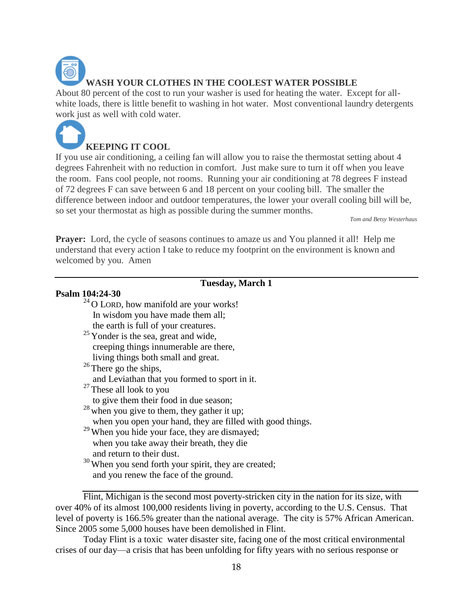**WASH YOUR CLOTHES IN THE COOLEST WATER POSSIBLE**

About 80 percent of the cost to run your washer is used for heating the water. Except for allwhite loads, there is little benefit to washing in hot water. Most conventional laundry detergents work just as well with cold water.

**KEEPING IT COOL**

If you use air conditioning, a ceiling fan will allow you to raise the thermostat setting about 4 degrees Fahrenheit with no reduction in comfort. Just make sure to turn it off when you leave the room. Fans cool people, not rooms. Running your air conditioning at 78 degrees F instead of 72 degrees F can save between 6 and 18 percent on your cooling bill. The smaller the difference between indoor and outdoor temperatures, the lower your overall cooling bill will be, so set your thermostat as high as possible during the summer months.

*Tom and Betsy Westerhaus*

**Prayer:** Lord, the cycle of seasons continues to amaze us and You planned it all! Help me understand that every action I take to reduce my footprint on the environment is known and welcomed by you. Amen

#### **Tuesday, March 1**

#### **Psalm 104:24-30**

- $24$  O LORD, how manifold are your works! In wisdom you have made them all; the earth is full of your creatures.
- $25$  Yonder is the sea, great and wide, creeping things innumerable are there, living things both small and great.
- $26$  There go the ships, and Leviathan that you formed to sport in it.
- $27$  These all look to you
	- to give them their food in due season;
- $28$  when you give to them, they gather it up;
- when you open your hand, they are filled with good things.
- <sup>29</sup> When you hide your face, they are dismayed; when you take away their breath, they die and return to their dust.
- <sup>30</sup> When you send forth your spirit, they are created; and you renew the face of the ground.

Flint, Michigan is the second most poverty-stricken city in the nation for its size, with over 40% of its almost 100,000 residents living in poverty, according to the U.S. Census. That level of poverty is 166.5% greater than the national average. The city is 57% African American. Since 2005 some 5,000 houses have been demolished in Flint.

Today Flint is a toxic water disaster site, facing one of the most critical environmental crises of our day—a crisis that has been unfolding for fifty years with no serious response or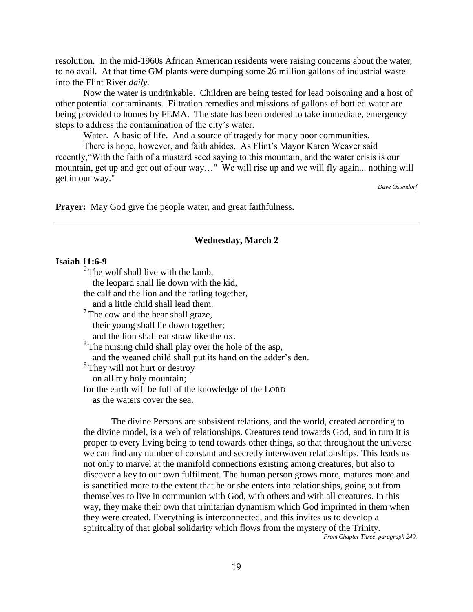resolution. In the mid-1960s African American residents were raising concerns about the water, to no avail. At that time GM plants were dumping some 26 million gallons of industrial waste into the Flint River *daily.*

Now the water is undrinkable. Children are being tested for lead poisoning and a host of other potential contaminants. Filtration remedies and missions of gallons of bottled water are being provided to homes by FEMA. The state has been ordered to take immediate, emergency steps to address the contamination of the city's water.

Water. A basic of life. And a source of tragedy for many poor communities.

There is hope, however, and faith abides. As Flint's Mayor Karen Weaver said recently,"With the faith of a mustard seed saying to this mountain, and the water crisis is our mountain, get up and get out of our way…" We will rise up and we will fly again... nothing will get in our way."

*Dave Ostendorf*

**Prayer:** May God give the people water, and great faithfulness.

#### **Wednesday, March 2**

#### **Isaiah 11:6-9**

<sup>6</sup> The wolf shall live with the lamb, the leopard shall lie down with the kid, the calf and the lion and the fatling together, and a little child shall lead them.  $7$  The cow and the bear shall graze, their young shall lie down together; and the lion shall eat straw like the ox.  $8<sup>8</sup>$  The nursing child shall play over the hole of the asp, and the weaned child shall put its hand on the adder's den. <sup>9</sup> They will not hurt or destroy on all my holy mountain; for the earth will be full of the knowledge of the LORD as the waters cover the sea.

The divine Persons are subsistent relations, and the world, created according to the divine model, is a web of relationships. Creatures tend towards God, and in turn it is proper to every living being to tend towards other things, so that throughout the universe we can find any number of constant and secretly interwoven relationships. This leads us not only to marvel at the manifold connections existing among creatures, but also to discover a key to our own fulfilment. The human person grows more, matures more and is sanctified more to the extent that he or she enters into relationships, going out from themselves to live in communion with God, with others and with all creatures. In this way, they make their own that trinitarian dynamism which God imprinted in them when they were created. Everything is interconnected, and this invites us to develop a spirituality of that global solidarity which flows from the mystery of the Trinity.

*From Chapter Three, paragraph 240.*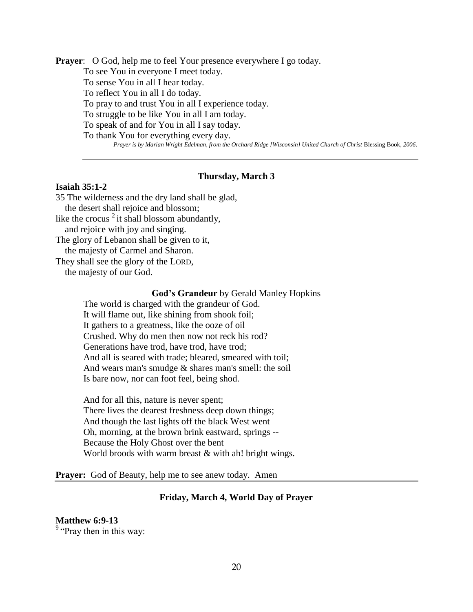**Prayer:** O God, help me to feel Your presence everywhere I go today. To see You in everyone I meet today. To sense You in all I hear today. To reflect You in all I do today. To pray to and trust You in all I experience today. To struggle to be like You in all I am today. To speak of and for You in all I say today. To thank You for everything every day. *Prayer is by Marian Wright Edelman, from the Orchard Ridge [Wisconsin] United Church of Christ* Blessing Book, *2006*.

#### **Thursday, March 3**

#### **Isaiah 35:1-2**

35 The wilderness and the dry land shall be glad, the desert shall rejoice and blossom; like the crocus<sup>2</sup> it shall blossom abundantly, and rejoice with joy and singing. The glory of Lebanon shall be given to it, the majesty of Carmel and Sharon. They shall see the glory of the LORD, the majesty of our God.

#### **God's Grandeur** by Gerald Manley Hopkins

The world is charged with the grandeur of God. It will flame out, like shining from shook foil; It gathers to a greatness, like the ooze of oil Crushed. Why do men then now not reck his rod? Generations have trod, have trod, have trod; And all is seared with trade; bleared, smeared with toil; And wears man's smudge & shares man's smell: the soil Is bare now, nor can foot feel, being shod.

And for all this, nature is never spent; There lives the dearest freshness deep down things; And though the last lights off the black West went Oh, morning, at the brown brink eastward, springs -- Because the Holy Ghost over the bent World broods with warm breast & with ah! bright wings.

#### **Prayer:** God of Beauty, help me to see anew today. Amen

#### **Friday, March 4, World Day of Prayer**

#### **Matthew 6:9-13**

<sup>9</sup> "Pray then in this way: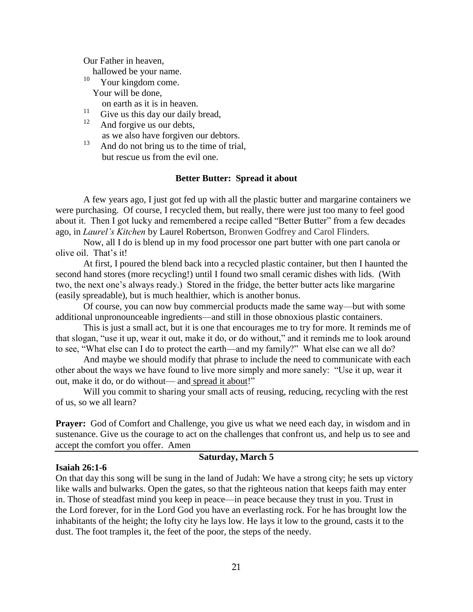Our Father in heaven,

hallowed be your name.

 $10^{-7}$  Your kingdom come. Your will be done,

on earth as it is in heaven.

- 11 Give us this day our daily bread,
- 12 And forgive us our debts, as we also have forgiven our debtors.
- 13 And do not bring us to the time of trial, but rescue us from the evil one.

#### **Better Butter: Spread it about**

A few years ago, I just got fed up with all the plastic butter and margarine containers we were purchasing. Of course, I recycled them, but really, there were just too many to feel good about it. Then I got lucky and remembered a recipe called "Better Butter" from a few decades ago, in *Laurel's Kitchen* by Laurel Robertson, Bronwen Godfrey and Carol Flinders*.*

Now, all I do is blend up in my food processor one part butter with one part canola or olive oil. That's it!

At first, I poured the blend back into a recycled plastic container, but then I haunted the second hand stores (more recycling!) until I found two small ceramic dishes with lids. (With two, the next one's always ready.) Stored in the fridge, the better butter acts like margarine (easily spreadable), but is much healthier, which is another bonus.

Of course, you can now buy commercial products made the same way—but with some additional unpronounceable ingredients—and still in those obnoxious plastic containers.

This is just a small act, but it is one that encourages me to try for more. It reminds me of that slogan, "use it up, wear it out, make it do, or do without," and it reminds me to look around to see, "What else can I do to protect the earth—and my family?" What else can we all do?

And maybe we should modify that phrase to include the need to communicate with each other about the ways we have found to live more simply and more sanely: "Use it up, wear it out, make it do, or do without— and spread it about!"

Will you commit to sharing your small acts of reusing, reducing, recycling with the rest of us, so we all learn?

**Prayer:** God of Comfort and Challenge, you give us what we need each day, in wisdom and in sustenance. Give us the courage to act on the challenges that confront us, and help us to see and accept the comfort you offer. Amen

#### **Isaiah 26:1-6**

#### **Saturday, March 5**

On that day this song will be sung in the land of Judah: We have a strong city; he sets up victory like walls and bulwarks. Open the gates, so that the righteous nation that keeps faith may enter in. Those of steadfast mind you keep in peace—in peace because they trust in you. Trust in the Lord forever, for in the Lord God you have an everlasting rock. For he has brought low the inhabitants of the height; the lofty city he lays low. He lays it low to the ground, casts it to the dust. The foot tramples it, the feet of the poor, the steps of the needy.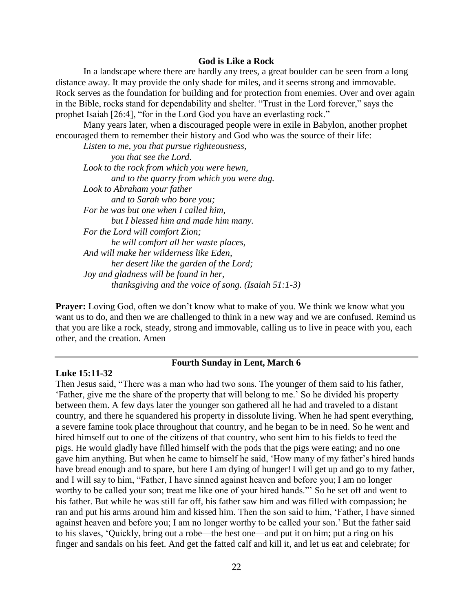#### **God is Like a Rock**

In a landscape where there are hardly any trees, a great boulder can be seen from a long distance away. It may provide the only shade for miles, and it seems strong and immovable. Rock serves as the foundation for building and for protection from enemies. Over and over again in the Bible, rocks stand for dependability and shelter. "Trust in the Lord forever," says the prophet Isaiah [26:4], "for in the Lord God you have an everlasting rock."

Many years later, when a discouraged people were in exile in Babylon, another prophet encouraged them to remember their history and God who was the source of their life:

*Listen to me, you that pursue righteousness, you that see the Lord. Look to the rock from which you were hewn, and to the quarry from which you were dug. Look to Abraham your father and to Sarah who bore you; For he was but one when I called him, but I blessed him and made him many. For the Lord will comfort Zion; he will comfort all her waste places, And will make her wilderness like Eden, her desert like the garden of the Lord; Joy and gladness will be found in her, thanksgiving and the voice of song. (Isaiah 51:1-3)*

**Prayer:** Loving God, often we don't know what to make of you. We think we know what you want us to do, and then we are challenged to think in a new way and we are confused. Remind us that you are like a rock, steady, strong and immovable, calling us to live in peace with you, each other, and the creation. Amen

#### **Luke 15:11-32**

#### **Fourth Sunday in Lent, March 6**

Then Jesus said, "There was a man who had two sons. The younger of them said to his father, 'Father, give me the share of the property that will belong to me.' So he divided his property between them. A few days later the younger son gathered all he had and traveled to a distant country, and there he squandered his property in dissolute living. When he had spent everything, a severe famine took place throughout that country, and he began to be in need. So he went and hired himself out to one of the citizens of that country, who sent him to his fields to feed the pigs. He would gladly have filled himself with the pods that the pigs were eating; and no one gave him anything. But when he came to himself he said, 'How many of my father's hired hands have bread enough and to spare, but here I am dying of hunger! I will get up and go to my father, and I will say to him, "Father, I have sinned against heaven and before you; I am no longer worthy to be called your son; treat me like one of your hired hands."' So he set off and went to his father. But while he was still far off, his father saw him and was filled with compassion; he ran and put his arms around him and kissed him. Then the son said to him, 'Father, I have sinned against heaven and before you; I am no longer worthy to be called your son.' But the father said to his slaves, 'Quickly, bring out a robe—the best one—and put it on him; put a ring on his finger and sandals on his feet. And get the fatted calf and kill it, and let us eat and celebrate; for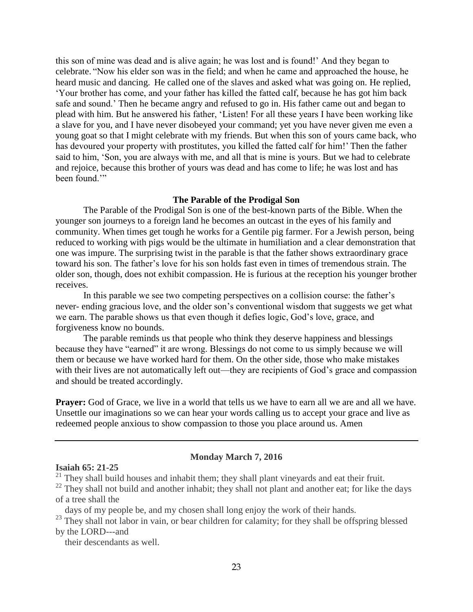this son of mine was dead and is alive again; he was lost and is found!' And they began to celebrate. "Now his elder son was in the field; and when he came and approached the house, he heard music and dancing. He called one of the slaves and asked what was going on. He replied, 'Your brother has come, and your father has killed the fatted calf, because he has got him back safe and sound.' Then he became angry and refused to go in. His father came out and began to plead with him. But he answered his father, 'Listen! For all these years I have been working like a slave for you, and I have never disobeyed your command; yet you have never given me even a young goat so that I might celebrate with my friends. But when this son of yours came back, who has devoured your property with prostitutes, you killed the fatted calf for him!' Then the father said to him, 'Son, you are always with me, and all that is mine is yours. But we had to celebrate and rejoice, because this brother of yours was dead and has come to life; he was lost and has been found."

#### **The Parable of the Prodigal Son**

The Parable of the Prodigal Son is one of the best-known parts of the Bible. When the younger son journeys to a foreign land he becomes an outcast in the eyes of his family and community. When times get tough he works for a Gentile pig farmer. For a Jewish person, being reduced to working with pigs would be the ultimate in humiliation and a clear demonstration that one was impure. The surprising twist in the parable is that the father shows extraordinary grace toward his son. The father's love for his son holds fast even in times of tremendous strain. The older son, though, does not exhibit compassion. He is furious at the reception his younger brother receives.

In this parable we see two competing perspectives on a collision course: the father's never- ending gracious love, and the older son's conventional wisdom that suggests we get what we earn. The parable shows us that even though it defies logic, God's love, grace, and forgiveness know no bounds.

The parable reminds us that people who think they deserve happiness and blessings because they have "earned" it are wrong. Blessings do not come to us simply because we will them or because we have worked hard for them. On the other side, those who make mistakes with their lives are not automatically left out—they are recipients of God's grace and compassion and should be treated accordingly.

**Prayer:** God of Grace, we live in a world that tells us we have to earn all we are and all we have. Unsettle our imaginations so we can hear your words calling us to accept your grace and live as redeemed people anxious to show compassion to those you place around us. Amen

#### **Monday March 7, 2016**

#### **Isaiah 65: 21-25**

 $21$  They shall build houses and inhabit them; they shall plant vineyards and eat their fruit.

<sup>22</sup> They shall not build and another inhabit; they shall not plant and another eat; for like the days of a tree shall the

days of my people be, and my chosen shall long enjoy the work of their hands.

<sup>23</sup> They shall not labor in vain, or bear children for calamity; for they shall be offspring blessed by the LORD---and

their descendants as well.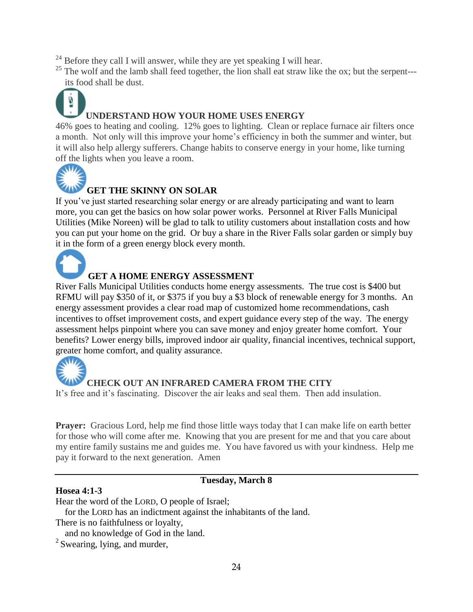$^{24}$  Before they call I will answer, while they are yet speaking I will hear.

<sup>25</sup> The wolf and the lamb shall feed together, the lion shall eat straw like the ox; but the serpent--its food shall be dust.



## **UNDERSTAND HOW YOUR HOME USES ENERGY**

46% goes to heating and cooling. 12% goes to lighting. Clean or replace furnace air filters once a month. Not only will this improve your home's efficiency in both the summer and winter, but it will also help allergy sufferers. Change habits to conserve energy in your home, like turning off the lights when you leave a room.



## **GET THE SKINNY ON SOLAR**

If you've just started researching solar energy or are already participating and want to learn more, you can get the basics on how solar power works. Personnel at River Falls Municipal Utilities (Mike Noreen) will be glad to talk to utility customers about installation costs and how you can put your home on the grid. Or buy a share in the River Falls solar garden or simply buy it in the form of a green energy block every month.



### **GET A HOME ENERGY ASSESSMENT**

River Falls Municipal Utilities conducts home energy assessments. The true cost is \$400 but RFMU will pay \$350 of it, or \$375 if you buy a \$3 block of renewable energy for 3 months. An energy assessment provides a clear road map of customized home recommendations, cash incentives to offset improvement costs, and expert guidance every step of the way. The energy assessment helps pinpoint where you can save money and enjoy greater home comfort. Your benefits? Lower energy bills, improved indoor air quality, financial incentives, technical support, greater home comfort, and quality assurance.



#### **CHECK OUT AN INFRARED CAMERA FROM THE CITY**

It's free and it's fascinating. Discover the air leaks and seal them. Then add insulation.

**Prayer:** Gracious Lord, help me find those little ways today that I can make life on earth better for those who will come after me. Knowing that you are present for me and that you care about my entire family sustains me and guides me. You have favored us with your kindness. Help me pay it forward to the next generation. Amen

#### **Tuesday, March 8**

#### **Hosea 4:1-3**

Hear the word of the LORD, O people of Israel;

for the LORD has an indictment against the inhabitants of the land.

There is no faithfulness or loyalty,

and no knowledge of God in the land.

<sup>2</sup> Swearing, lying, and murder,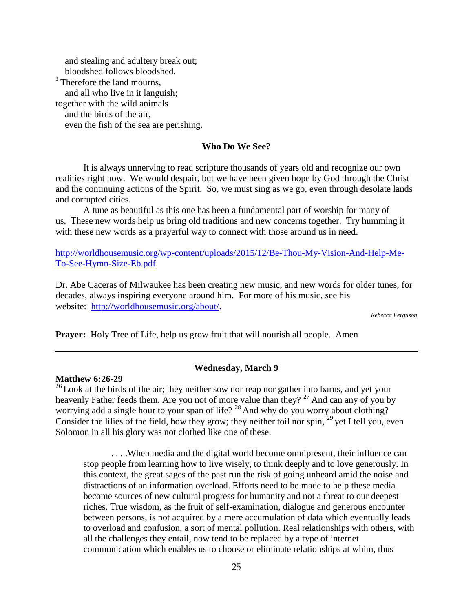and stealing and adultery break out; bloodshed follows bloodshed.

<sup>3</sup> Therefore the land mourns, and all who live in it languish; together with the wild animals and the birds of the air, even the fish of the sea are perishing.

#### **Who Do We See?**

It is always unnerving to read scripture thousands of years old and recognize our own realities right now. We would despair, but we have been given hope by God through the Christ and the continuing actions of the Spirit. So, we must sing as we go, even through desolate lands and corrupted cities.

A tune as beautiful as this one has been a fundamental part of worship for many of us. These new words help us bring old traditions and new concerns together. Try humming it with these new words as a prayerful way to connect with those around us in need.

[http://worldhousemusic.org/wp-content/uploads/2015/12/Be-Thou-My-Vision-And-Help-Me-](http://worldhousemusic.org/wp-content/uploads/2015/12/Be-Thou-My-Vision-And-Help-Me-To-See-Hymn-Size-Eb.pdf)[To-See-Hymn-Size-Eb.pdf](http://worldhousemusic.org/wp-content/uploads/2015/12/Be-Thou-My-Vision-And-Help-Me-To-See-Hymn-Size-Eb.pdf)

Dr. Abe Caceras of Milwaukee has been creating new music, and new words for older tunes, for decades, always inspiring everyone around him. For more of his music, see his website: [http://worldhousemusic.org/about/.](http://worldhousemusic.org/about/)

*Rebecca Ferguson*

**Prayer:** Holy Tree of Life, help us grow fruit that will nourish all people. Amen

#### **Matthew 6:26-29**

#### **Wednesday, March 9**

 $26$  Look at the birds of the air; they neither sow nor reap nor gather into barns, and yet your heavenly Father feeds them. Are you not of more value than they?  $27$  And can any of you by worrying add a single hour to your span of life? <sup>28</sup> And why do you worry about clothing? Consider the lilies of the field, how they grow; they neither toil nor spin,  $^{29}$  yet I tell you, even Solomon in all his glory was not clothed like one of these.

. . . .When media and the digital world become omnipresent, their influence can stop people from learning how to live wisely, to think deeply and to love generously. In this context, the great sages of the past run the risk of going unheard amid the noise and distractions of an information overload. Efforts need to be made to help these media become sources of new cultural progress for humanity and not a threat to our deepest riches. True wisdom, as the fruit of self-examination, dialogue and generous encounter between persons, is not acquired by a mere accumulation of data which eventually leads to overload and confusion, a sort of mental pollution. Real relationships with others, with all the challenges they entail, now tend to be replaced by a type of internet communication which enables us to choose or eliminate relationships at whim, thus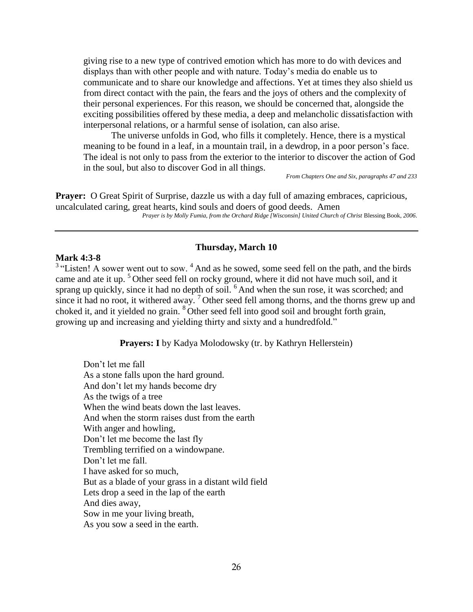giving rise to a new type of contrived emotion which has more to do with devices and displays than with other people and with nature. Today's media do enable us to communicate and to share our knowledge and affections. Yet at times they also shield us from direct contact with the pain, the fears and the joys of others and the complexity of their personal experiences. For this reason, we should be concerned that, alongside the exciting possibilities offered by these media, a deep and melancholic dissatisfaction with interpersonal relations, or a harmful sense of isolation, can also arise.

The universe unfolds in God, who fills it completely. Hence, there is a mystical meaning to be found in a leaf, in a mountain trail, in a dewdrop, in a poor person's face. The ideal is not only to pass from the exterior to the interior to discover the action of God in the soul, but also to discover God in all things.

*From Chapters One and Six, paragraphs 47 and 233*

**Prayer:** O Great Spirit of Surprise, dazzle us with a day full of amazing embraces, capricious, uncalculated caring, great hearts, kind souls and doers of good deeds. Amen *Prayer is by Molly Fumia, from the Orchard Ridge [Wisconsin] United Church of Christ* Blessing Book, *2006*.

#### **Thursday, March 10**

#### **Mark 4:3-8**

 $3$  "Listen! A sower went out to sow.  $4$  And as he sowed, some seed fell on the path, and the birds came and ate it up. <sup>5</sup> Other seed fell on rocky ground, where it did not have much soil, and it sprang up quickly, since it had no depth of soil. <sup>6</sup> And when the sun rose, it was scorched; and since it had no root, it withered away.  $\frac{1}{2}$  Other seed fell among thorns, and the thorns grew up and choked it, and it yielded no grain. <sup>8</sup> Other seed fell into good soil and brought forth grain, growing up and increasing and yielding thirty and sixty and a hundredfold."

Prayers: I by Kadya Molodowsky (tr. by Kathryn Hellerstein)

Don't let me fall As a stone falls upon the hard ground. And don't let my hands become dry As the twigs of a tree When the wind beats down the last leaves. And when the storm raises dust from the earth With anger and howling, Don't let me become the last fly Trembling terrified on a windowpane. Don't let me fall. I have asked for so much, But as a blade of your grass in a distant wild field Lets drop a seed in the lap of the earth And dies away, Sow in me your living breath, As you sow a seed in the earth.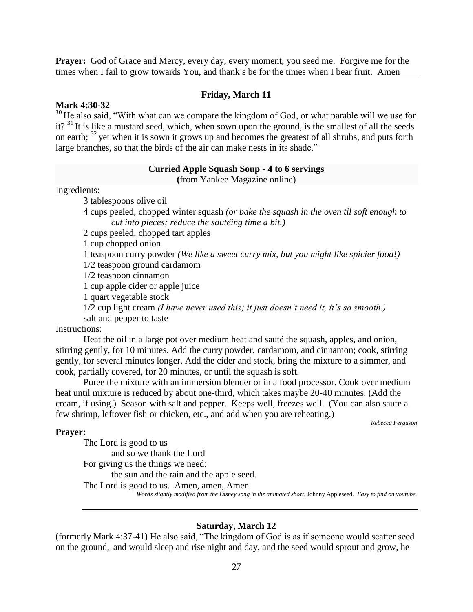**Prayer:** God of Grace and Mercy, every day, every moment, you seed me. Forgive me for the times when I fail to grow towards You, and thank s be for the times when I bear fruit. Amen

#### **Friday, March 11**

#### **Mark 4:30-32**

<sup>30</sup> He also said, "With what can we compare the kingdom of God, or what parable will we use for it? <sup>31</sup> It is like a mustard seed, which, when sown upon the ground, is the smallest of all the seeds on earth; <sup>32</sup> yet when it is sown it grows up and becomes the greatest of all shrubs, and puts forth large branches, so that the birds of the air can make nests in its shade."

#### **Curried Apple Squash Soup - 4 to 6 servings**

**(**from Yankee Magazine online)

Ingredients:

3 tablespoons olive oil

4 cups peeled, chopped winter squash *(or bake the squash in the oven til soft enough to cut into pieces; reduce the sautéing time a bit.)*

2 cups peeled, chopped tart apples

1 cup chopped onion

1 teaspoon curry powder *(We like a sweet curry mix, but you might like spicier food!)*

1/2 teaspoon ground cardamom

1/2 teaspoon cinnamon

1 cup apple cider or apple juice

1 quart vegetable stock

1/2 cup light cream *(I have never used this; it just doesn't need it, it's so smooth.)*

salt and pepper to taste

Instructions:

**Prayer:** 

Heat the oil in a large pot over medium heat and sauté the squash, apples, and onion, stirring gently, for 10 minutes. Add the curry powder, cardamom, and cinnamon; cook, stirring gently, for several minutes longer. Add the cider and stock, bring the mixture to a simmer, and cook, partially covered, for 20 minutes, or until the squash is soft.

Puree the mixture with an immersion blender or in a food processor. Cook over medium heat until mixture is reduced by about one-third, which takes maybe 20-40 minutes. (Add the cream, if using.) Season with salt and pepper. Keeps well, freezes well. (You can also saute a few shrimp, leftover fish or chicken, etc., and add when you are reheating.)

*Rebecca Ferguson*

The Lord is good to us and so we thank the Lord For giving us the things we need: the sun and the rain and the apple seed. The Lord is good to us. Amen, amen, Amen *Words slightly modified from the Disney song in the animated short,* Johnny Appleseed*. Easy to find on youtube.*

#### **Saturday, March 12**

(formerly Mark 4:37-41) He also said, "The kingdom of God is as if someone would scatter seed on the ground, and would sleep and rise night and day, and the seed would sprout and grow, he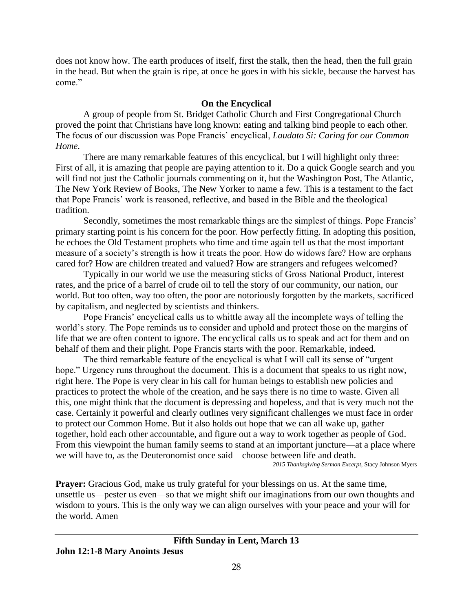does not know how. The earth produces of itself, first the stalk, then the head, then the full grain in the head. But when the grain is ripe, at once he goes in with his sickle, because the harvest has come."

### **On the Encyclical**

A group of people from St. Bridget Catholic Church and First Congregational Church proved the point that Christians have long known: eating and talking bind people to each other. The focus of our discussion was Pope Francis' encyclical, *Laudato Si: Caring for our Common Home*.

There are many remarkable features of this encyclical, but I will highlight only three: First of all, it is amazing that people are paying attention to it. Do a quick Google search and you will find not just the Catholic journals commenting on it, but the Washington Post, The Atlantic, The New York Review of Books, The New Yorker to name a few. This is a testament to the fact that Pope Francis' work is reasoned, reflective, and based in the Bible and the theological tradition.

Secondly, sometimes the most remarkable things are the simplest of things. Pope Francis' primary starting point is his concern for the poor. How perfectly fitting. In adopting this position, he echoes the Old Testament prophets who time and time again tell us that the most important measure of a society's strength is how it treats the poor. How do widows fare? How are orphans cared for? How are children treated and valued? How are strangers and refugees welcomed?

Typically in our world we use the measuring sticks of Gross National Product, interest rates, and the price of a barrel of crude oil to tell the story of our community, our nation, our world. But too often, way too often, the poor are notoriously forgotten by the markets, sacrificed by capitalism, and neglected by scientists and thinkers.

Pope Francis' encyclical calls us to whittle away all the incomplete ways of telling the world's story. The Pope reminds us to consider and uphold and protect those on the margins of life that we are often content to ignore. The encyclical calls us to speak and act for them and on behalf of them and their plight. Pope Francis starts with the poor. Remarkable, indeed.

The third remarkable feature of the encyclical is what I will call its sense of "urgent hope." Urgency runs throughout the document. This is a document that speaks to us right now, right here. The Pope is very clear in his call for human beings to establish new policies and practices to protect the whole of the creation, and he says there is no time to waste. Given all this, one might think that the document is depressing and hopeless, and that is very much not the case. Certainly it powerful and clearly outlines very significant challenges we must face in order to protect our Common Home. But it also holds out hope that we can all wake up, gather together, hold each other accountable, and figure out a way to work together as people of God. From this viewpoint the human family seems to stand at an important juncture—at a place where we will have to, as the Deuteronomist once said—choose between life and death. *2015 Thanksgiving Sermon Excerpt,* Stacy Johnson Myers

**Prayer:** Gracious God, make us truly grateful for your blessings on us. At the same time, unsettle us—pester us even—so that we might shift our imaginations from our own thoughts and wisdom to yours. This is the only way we can align ourselves with your peace and your will for the world. Amen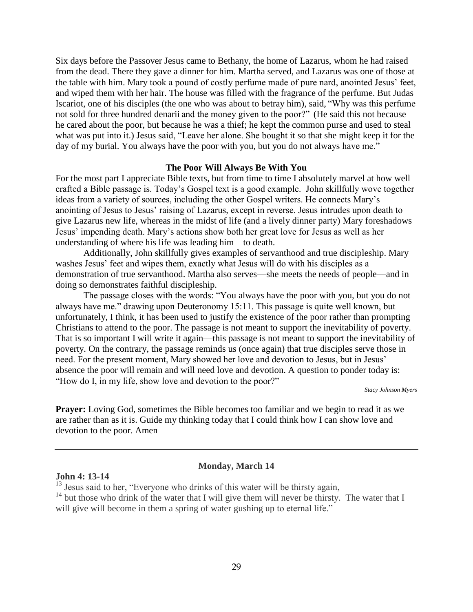Six days before the Passover Jesus came to Bethany, the home of Lazarus, whom he had raised from the dead. There they gave a dinner for him. Martha served, and Lazarus was one of those at the table with him. Mary took a pound of costly perfume made of pure nard, anointed Jesus' feet, and wiped them with her hair. The house was filled with the fragrance of the perfume. But Judas Iscariot, one of his disciples (the one who was about to betray him), said, "Why was this perfume not sold for three hundred denarii and the money given to the poor?" (He said this not because he cared about the poor, but because he was a thief; he kept the common purse and used to steal what was put into it.) Jesus said, "Leave her alone. She bought it so that she might keep it for the day of my burial. You always have the poor with you, but you do not always have me."

#### **The Poor Will Always Be With You**

For the most part I appreciate Bible texts, but from time to time I absolutely marvel at how well crafted a Bible passage is. Today's Gospel text is a good example. John skillfully wove together ideas from a variety of sources, including the other Gospel writers. He connects Mary's anointing of Jesus to Jesus' raising of Lazarus, except in reverse. Jesus intrudes upon death to give Lazarus new life, whereas in the midst of life (and a lively dinner party) Mary foreshadows Jesus' impending death. Mary's actions show both her great love for Jesus as well as her understanding of where his life was leading him—to death.

Additionally, John skillfully gives examples of servanthood and true discipleship. Mary washes Jesus' feet and wipes them, exactly what Jesus will do with his disciples as a demonstration of true servanthood. Martha also serves—she meets the needs of people—and in doing so demonstrates faithful discipleship.

The passage closes with the words: "You always have the poor with you, but you do not always have me." drawing upon Deuteronomy 15:11. This passage is quite well known, but unfortunately, I think, it has been used to justify the existence of the poor rather than prompting Christians to attend to the poor. The passage is not meant to support the inevitability of poverty. That is so important I will write it again—this passage is not meant to support the inevitability of poverty. On the contrary, the passage reminds us (once again) that true disciples serve those in need. For the present moment, Mary showed her love and devotion to Jesus, but in Jesus' absence the poor will remain and will need love and devotion. A question to ponder today is: "How do I, in my life, show love and devotion to the poor?"

*Stacy Johnson Myers*

**Prayer:** Loving God, sometimes the Bible becomes too familiar and we begin to read it as we are rather than as it is. Guide my thinking today that I could think how I can show love and devotion to the poor. Amen

#### **Monday, March 14**

#### **John 4: 13-14**

 $13$  Jesus said to her, "Everyone who drinks of this water will be thirsty again,

 $14$  but those who drink of the water that I will give them will never be thirsty. The water that I will give will become in them a spring of water gushing up to eternal life."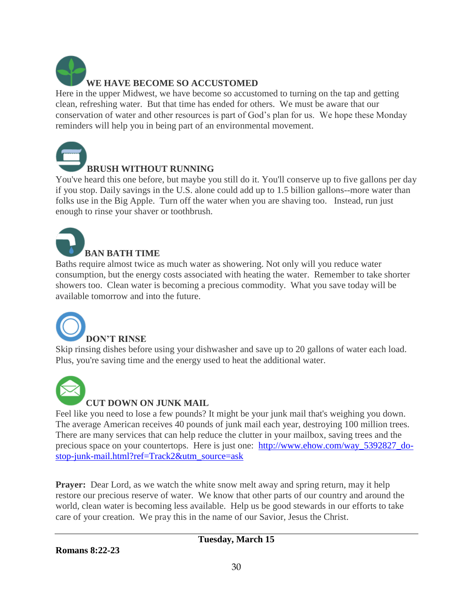**WE HAVE BECOME SO ACCUSTOMED**

Here in the upper Midwest, we have become so accustomed to turning on the tap and getting clean, refreshing water. But that time has ended for others. We must be aware that our conservation of water and other resources is part of God's plan for us. We hope these Monday reminders will help you in being part of an environmental movement.



## **BRUSH WITHOUT RUNNING**

You've heard this one before, but maybe you still do it. You'll conserve up to five gallons per day if you stop. Daily savings in the U.S. alone could add up to 1.5 billion gallons--more water than folks use in the Big Apple. Turn off the water when you are shaving too. Instead, run just enough to rinse your shaver or toothbrush.

# **BAN BATH TIME**

Baths require almost twice as much water as showering. Not only will you reduce water consumption, but the energy costs associated with heating the water. Remember to take shorter showers too. Clean water is becoming a precious commodity. What you save today will be available tomorrow and into the future.



Skip rinsing dishes before using your dishwasher and save up to 20 gallons of water each load. Plus, you're saving time and the energy used to heat the additional water.



## **CUT DOWN ON JUNK MAIL**

Feel like you need to lose a few pounds? It might be your junk mail that's weighing you down. The average American receives 40 pounds of junk mail each year, destroying 100 million trees. There are many services that can help reduce the clutter in your mailbox, saving trees and the precious space on your countertops. Here is just one: [http://www.ehow.com/way\\_5392827\\_do](http://www.ehow.com/way_5392827_do-stop-junk-mail.html?ref=Track2&utm_source=ask)[stop-junk-mail.html?ref=Track2&utm\\_source=ask](http://www.ehow.com/way_5392827_do-stop-junk-mail.html?ref=Track2&utm_source=ask)

**Prayer:** Dear Lord, as we watch the white snow melt away and spring return, may it help restore our precious reserve of water. We know that other parts of our country and around the world, clean water is becoming less available. Help us be good stewards in our efforts to take care of your creation. We pray this in the name of our Savior, Jesus the Christ.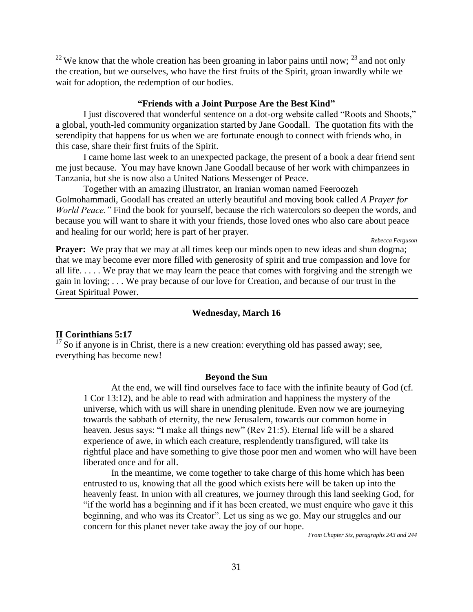<sup>22</sup> We know that the whole creation has been groaning in labor pains until now; <sup>23</sup> and not only the creation, but we ourselves, who have the first fruits of the Spirit, groan inwardly while we wait for adoption, the redemption of our bodies.

#### **"Friends with a Joint Purpose Are the Best Kind"**

I just discovered that wonderful sentence on a dot-org website called "Roots and Shoots," a global, youth-led community organization started by Jane Goodall. The quotation fits with the serendipity that happens for us when we are fortunate enough to connect with friends who, in this case, share their first fruits of the Spirit.

I came home last week to an unexpected package, the present of a book a dear friend sent me just because. You may have known Jane Goodall because of her work with chimpanzees in Tanzania, but she is now also a United Nations Messenger of Peace.

Together with an amazing illustrator, an Iranian woman named Feeroozeh Golmohammadi, Goodall has created an utterly beautiful and moving book called *A Prayer for World Peace."* Find the book for yourself, because the rich watercolors so deepen the words, and because you will want to share it with your friends, those loved ones who also care about peace and healing for our world; here is part of her prayer.

*Rebecca Ferguson*

**Prayer:** We pray that we may at all times keep our minds open to new ideas and shun dogma; that we may become ever more filled with generosity of spirit and true compassion and love for all life. . . . . We pray that we may learn the peace that comes with forgiving and the strength we gain in loving; . . . We pray because of our love for Creation, and because of our trust in the Great Spiritual Power.

#### **Wednesday, March 16**

#### **II Corinthians 5:17**

 $17$  So if anyone is in Christ, there is a new creation: everything old has passed away; see, everything has become new!

#### **Beyond the Sun**

At the end, we will find ourselves face to face with the infinite beauty of God (cf. 1 Cor 13:12), and be able to read with admiration and happiness the mystery of the universe, which with us will share in unending plenitude. Even now we are journeying towards the sabbath of eternity, the new Jerusalem, towards our common home in heaven. Jesus says: "I make all things new" (Rev 21:5). Eternal life will be a shared experience of awe, in which each creature, resplendently transfigured, will take its rightful place and have something to give those poor men and women who will have been liberated once and for all.

In the meantime, we come together to take charge of this home which has been entrusted to us, knowing that all the good which exists here will be taken up into the heavenly feast. In union with all creatures, we journey through this land seeking God, for "if the world has a beginning and if it has been created, we must enquire who gave it this beginning, and who was its Creator". Let us sing as we go. May our struggles and our concern for this planet never take away the joy of our hope.

*From Chapter Six, paragraphs 243 and 244*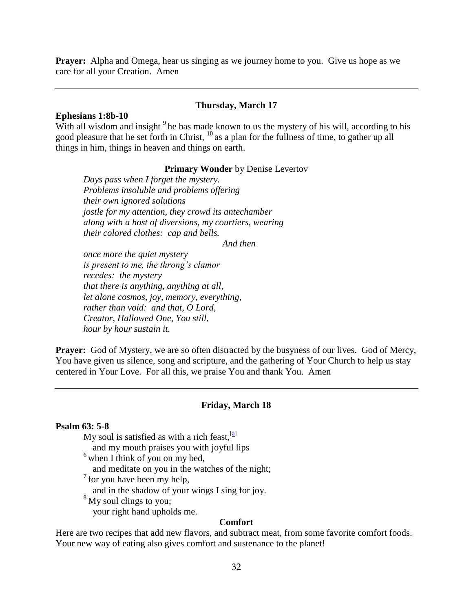**Prayer:** Alpha and Omega, hear us singing as we journey home to you. Give us hope as we care for all your Creation. Amen

#### **Ephesians 1:8b-10**

#### **Thursday, March 17**

With all wisdom and insight  $9$  he has made known to us the mystery of his will, according to his good pleasure that he set forth in Christ, <sup>10</sup> as a plan for the fullness of time, to gather up all things in him, things in heaven and things on earth.

#### **Primary Wonder** by Denise Levertov

*Days pass when I forget the mystery. Problems insoluble and problems offering their own ignored solutions jostle for my attention, they crowd its antechamber along with a host of diversions, my courtiers, wearing their colored clothes: cap and bells.*

#### *And then*

*once more the quiet mystery is present to me, the throng's clamor recedes: the mystery that there is anything, anything at all, let alone cosmos, joy, memory, everything, rather than void: and that, O Lord, Creator, Hallowed One, You still, hour by hour sustain it.*

**Prayer:** God of Mystery, we are so often distracted by the busyness of our lives. God of Mercy, You have given us silence, song and scripture, and the gathering of Your Church to help us stay centered in Your Love. For all this, we praise You and thank You. Amen

#### **Friday, March 18**

#### **Psalm 63: 5-8**

My soul is satisfied as with a rich feast,  $\left[\frac{a}{2}\right]$ 

and my mouth praises you with joyful lips

 $<sup>6</sup>$  when I think of you on my bed,</sup>

and meditate on you in the watches of the night;

 $7$  for you have been my help,

and in the shadow of your wings I sing for joy.

<sup>8</sup> My soul clings to you;

your right hand upholds me.

#### **Comfort**

Here are two recipes that add new flavors, and subtract meat, from some favorite comfort foods. Your new way of eating also gives comfort and sustenance to the planet!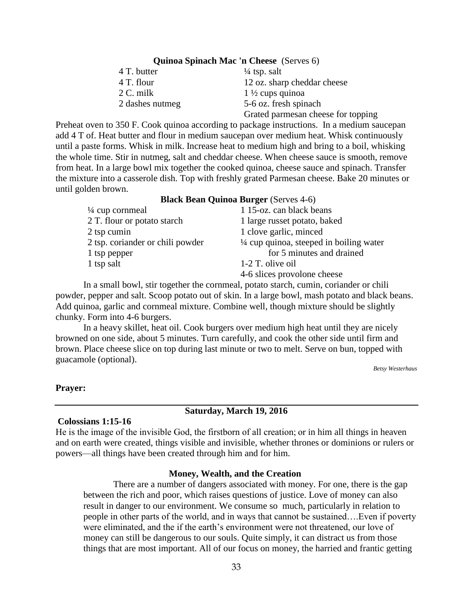#### **Quinoa Spinach Mac 'n Cheese** (Serves 6)

| 4 T. butter     | $\frac{1}{4}$ tsp. salt            |
|-----------------|------------------------------------|
| 4 T. flour      | 12 oz. sharp cheddar cheese        |
| 2 C. milk       | $1\frac{1}{2}$ cups quinoa         |
| 2 dashes nutmeg | 5-6 oz. fresh spinach              |
|                 | Grated parmesan cheese for topping |

Preheat oven to 350 F. Cook quinoa according to package instructions. In a medium saucepan add 4 T of. Heat butter and flour in medium saucepan over medium heat. Whisk continuously until a paste forms. Whisk in milk. Increase heat to medium high and bring to a boil, whisking the whole time. Stir in nutmeg, salt and cheddar cheese. When cheese sauce is smooth, remove from heat. In a large bowl mix together the cooked quinoa, cheese sauce and spinach. Transfer the mixture into a casserole dish. Top with freshly grated Parmesan cheese. Bake 20 minutes or until golden brown.

#### **Black Bean Quinoa Burger** (Serves 4-6)

| ¼ cup cornmeal                   | 1 15-oz. can black beans                           |  |
|----------------------------------|----------------------------------------------------|--|
| 2 T. flour or potato starch      | 1 large russet potato, baked                       |  |
| 2 tsp cumin                      | 1 clove garlic, minced                             |  |
| 2 tsp. coriander or chili powder | $\frac{1}{4}$ cup quinoa, steeped in boiling water |  |
| 1 tsp pepper                     | for 5 minutes and drained                          |  |
| 1 tsp salt                       | 1-2 T. olive oil                                   |  |
|                                  | 4-6 slices provolone cheese                        |  |

In a small bowl, stir together the cornmeal, potato starch, cumin, coriander or chili powder, pepper and salt. Scoop potato out of skin. In a large bowl, mash potato and black beans. Add quinoa, garlic and cornmeal mixture. Combine well, though mixture should be slightly chunky. Form into 4-6 burgers.

In a heavy skillet, heat oil. Cook burgers over medium high heat until they are nicely browned on one side, about 5 minutes. Turn carefully, and cook the other side until firm and brown. Place cheese slice on top during last minute or two to melt. Serve on bun, topped with guacamole (optional).

*Betsy Westerhaus*

#### **Prayer:**

#### **Saturday, March 19, 2016**

**Colossians 1:15-16**

He is the image of the invisible God, the firstborn of all creation; or in him all things in heaven and on earth were created, things visible and invisible, whether thrones or dominions or rulers or powers—all things have been created through him and for him.

#### **Money, Wealth, and the Creation**

There are a number of dangers associated with money. For one, there is the gap between the rich and poor, which raises questions of justice. Love of money can also result in danger to our environment. We consume so much, particularly in relation to people in other parts of the world, and in ways that cannot be sustained….Even if poverty were eliminated, and the if the earth's environment were not threatened, our love of money can still be dangerous to our souls. Quite simply, it can distract us from those things that are most important. All of our focus on money, the harried and frantic getting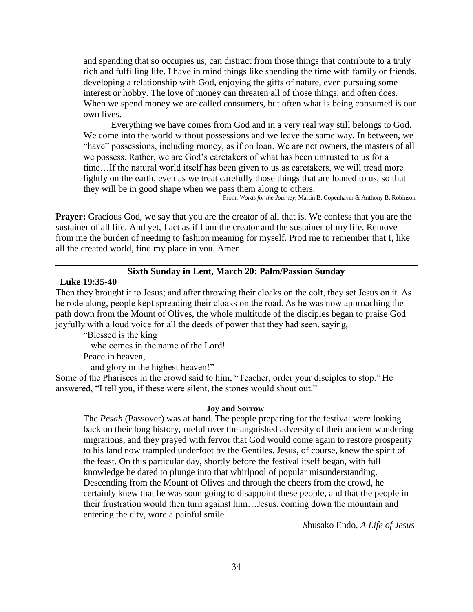and spending that so occupies us, can distract from those things that contribute to a truly rich and fulfilling life. I have in mind things like spending the time with family or friends, developing a relationship with God, enjoying the gifts of nature, even pursuing some interest or hobby. The love of money can threaten all of those things, and often does. When we spend money we are called consumers, but often what is being consumed is our own lives.

Everything we have comes from God and in a very real way still belongs to God. We come into the world without possessions and we leave the same way. In between, we "have" possessions, including money, as if on loan. We are not owners, the masters of all we possess. Rather, we are God's caretakers of what has been untrusted to us for a time…If the natural world itself has been given to us as caretakers, we will tread more lightly on the earth, even as we treat carefully those things that are loaned to us, so that they will be in good shape when we pass them along to others.

From: *Words for the Journey,* Martin B. Copenhaver & Anthony B. Robinson

**Prayer:** Gracious God, we say that you are the creator of all that is. We confess that you are the sustainer of all life. And yet, I act as if I am the creator and the sustainer of my life. Remove from me the burden of needing to fashion meaning for myself. Prod me to remember that I, like all the created world, find my place in you. Amen

#### **Sixth Sunday in Lent, March 20: Palm/Passion Sunday**

#### **Luke 19:35-40**

Then they brought it to Jesus; and after throwing their cloaks on the colt, they set Jesus on it. As he rode along, people kept spreading their cloaks on the road. As he was now approaching the path down from the Mount of Olives, the whole multitude of the disciples began to praise God joyfully with a loud voice for all the deeds of power that they had seen, saying,

"Blessed is the king

    who comes in the name of the Lord!

Peace in heaven,

    and glory in the highest heaven!"

Some of the Pharisees in the crowd said to him, "Teacher, order your disciples to stop." He answered, "I tell you, if these were silent, the stones would shout out."

#### **Joy and Sorrow**

The *Pesah* (Passover) was at hand. The people preparing for the festival were looking back on their long history, rueful over the anguished adversity of their ancient wandering migrations, and they prayed with fervor that God would come again to restore prosperity to his land now trampled underfoot by the Gentiles. Jesus, of course, knew the spirit of the feast. On this particular day, shortly before the festival itself began, with full knowledge he dared to plunge into that whirlpool of popular misunderstanding. Descending from the Mount of Olives and through the cheers from the crowd, he certainly knew that he was soon going to disappoint these people, and that the people in their frustration would then turn against him…Jesus, coming down the mountain and entering the city, wore a painful smile.

*S*husako Endo, *A Life of Jesus*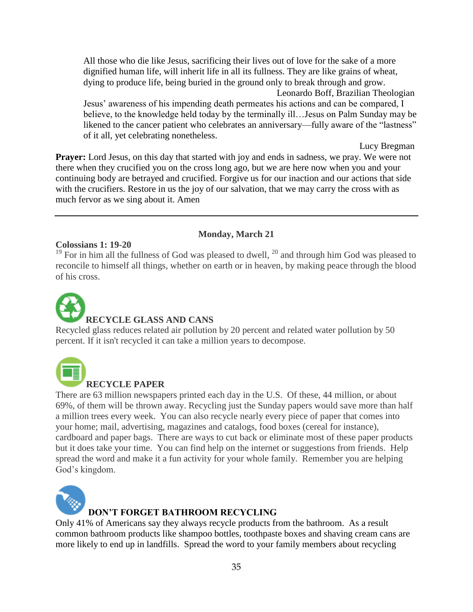All those who die like Jesus, sacrificing their lives out of love for the sake of a more dignified human life, will inherit life in all its fullness. They are like grains of wheat, dying to produce life, being buried in the ground only to break through and grow. Leonardo Boff, Brazilian Theologian Jesus' awareness of his impending death permeates his actions and can be compared, I believe, to the knowledge held today by the terminally ill…Jesus on Palm Sunday may be likened to the cancer patient who celebrates an anniversary—fully aware of the "lastness" of it all, yet celebrating nonetheless.

Lucy Bregman **Prayer:** Lord Jesus, on this day that started with joy and ends in sadness, we pray. We were not there when they crucified you on the cross long ago, but we are here now when you and your continuing body are betrayed and crucified. Forgive us for our inaction and our actions that side with the crucifiers. Restore in us the joy of our salvation, that we may carry the cross with as much fervor as we sing about it. Amen

## **Colossians 1: 19-20**

## **Monday, March 21**

<sup>19</sup> For in him all the fullness of God was pleased to dwell,  $^{20}$  and through him God was pleased to reconcile to himself all things, whether on earth or in heaven, by making peace through the blood of his cross.



Recycled glass reduces related air pollution by 20 percent and related water pollution by 50 percent. If it isn't recycled it can take a million years to decompose.



### **RECYCLE PAPER**

There are 63 million newspapers printed each day in the U.S. Of these, 44 million, or about 69%, of them will be thrown away. Recycling just the Sunday papers would save more than half a million trees every week. You can also recycle nearly every piece of paper that comes into your home; mail, advertising, magazines and catalogs, food boxes (cereal for instance), cardboard and paper bags. There are ways to cut back or eliminate most of these paper products but it does take your time. You can find help on the internet or suggestions from friends. Help spread the word and make it a fun activity for your whole family. Remember you are helping God's kingdom.



## **DON'T FORGET BATHROOM RECYCLING**

Only 41% of Americans say they always recycle products from the bathroom. As a result common bathroom products like shampoo bottles, toothpaste boxes and shaving cream cans are more likely to end up in landfills. Spread the word to your family members about recycling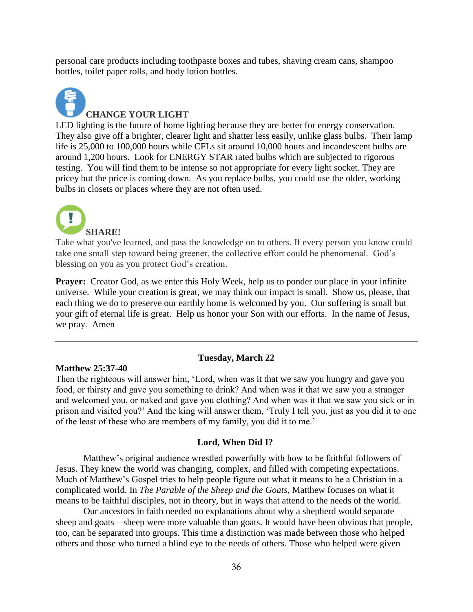personal care products including toothpaste boxes and tubes, shaving cream cans, shampoo bottles, toilet paper rolls, and body lotion bottles.



LED lighting is the future of home lighting because they are better for energy conservation. They also give off a brighter, clearer light and shatter less easily, unlike glass bulbs. Their lamp life is 25,000 to 100,000 hours while CFLs sit around 10,000 hours and incandescent bulbs are around 1,200 hours. Look for ENERGY STAR rated bulbs which are subjected to rigorous testing. You will find them to be intense so not appropriate for every light socket. They are pricey but the price is coming down. As you replace bulbs, you could use the older, working bulbs in closets or places where they are not often used.



Take what you've learned, and pass the knowledge on to others. If every person you know could take one small step toward being greener, the collective effort could be phenomenal. God's blessing on you as you protect God's creation.

**Prayer:** Creator God, as we enter this Holy Week, help us to ponder our place in your infinite universe. While your creation is great, we may think our impact is small. Show us, please, that each thing we do to preserve our earthly home is welcomed by you. Our suffering is small but your gift of eternal life is great. Help us honor your Son with our efforts. In the name of Jesus, we pray. Amen

#### **Matthew 25:37-40**

#### **Tuesday, March 22**

Then the righteous will answer him, 'Lord, when was it that we saw you hungry and gave you food, or thirsty and gave you something to drink? And when was it that we saw you a stranger and welcomed you, or naked and gave you clothing? And when was it that we saw you sick or in prison and visited you?' And the king will answer them, 'Truly I tell you, just as you did it to one of the least of these who are members of my family, you did it to me.'

#### **Lord, When Did I?**

Matthew's original audience wrestled powerfully with how to be faithful followers of Jesus. They knew the world was changing, complex, and filled with competing expectations. Much of Matthew's Gospel tries to help people figure out what it means to be a Christian in a complicated world. In *The Parable of the Sheep and the Goats*, Matthew focuses on what it means to be faithful disciples, not in theory, but in ways that attend to the needs of the world.

Our ancestors in faith needed no explanations about why a shepherd would separate sheep and goats—sheep were more valuable than goats. It would have been obvious that people, too, can be separated into groups. This time a distinction was made between those who helped others and those who turned a blind eye to the needs of others. Those who helped were given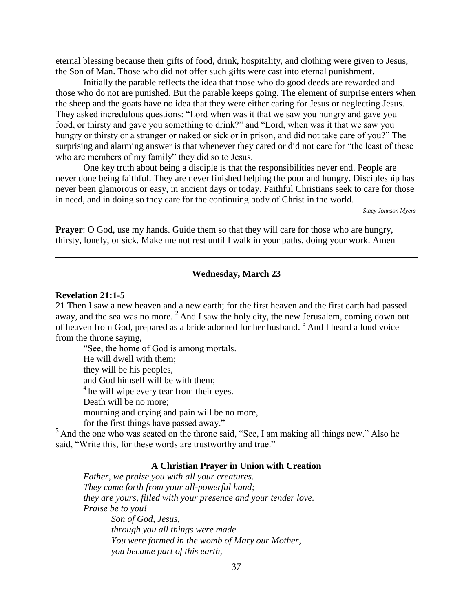eternal blessing because their gifts of food, drink, hospitality, and clothing were given to Jesus, the Son of Man. Those who did not offer such gifts were cast into eternal punishment.

Initially the parable reflects the idea that those who do good deeds are rewarded and those who do not are punished. But the parable keeps going. The element of surprise enters when the sheep and the goats have no idea that they were either caring for Jesus or neglecting Jesus. They asked incredulous questions: "Lord when was it that we saw you hungry and gave you food, or thirsty and gave you something to drink?" and "Lord, when was it that we saw you hungry or thirsty or a stranger or naked or sick or in prison, and did not take care of you?" The surprising and alarming answer is that whenever they cared or did not care for "the least of these who are members of my family" they did so to Jesus.

One key truth about being a disciple is that the responsibilities never end. People are never done being faithful. They are never finished helping the poor and hungry. Discipleship has never been glamorous or easy, in ancient days or today. Faithful Christians seek to care for those in need, and in doing so they care for the continuing body of Christ in the world.

*Stacy Johnson Myers*

**Prayer**: O God, use my hands. Guide them so that they will care for those who are hungry, thirsty, lonely, or sick. Make me not rest until I walk in your paths, doing your work. Amen

#### **Wednesday, March 23**

#### **Revelation 21:1-5**

21 Then I saw a new heaven and a new earth; for the first heaven and the first earth had passed away, and the sea was no more. <sup>2</sup> And I saw the holy city, the new Jerusalem, coming down out of heaven from God, prepared as a bride adorned for her husband. <sup>3</sup> And I heard a loud voice from the throne saying,

"See, the home of God is among mortals. He will dwell with them; they will be his peoples, and God himself will be with them; <sup>4</sup> he will wipe every tear from their eyes. Death will be no more; mourning and crying and pain will be no more, for the first things have passed away."

<sup>5</sup> And the one who was seated on the throne said, "See, I am making all things new." Also he said, "Write this, for these words are trustworthy and true."

#### **A Christian Prayer in Union with Creation**

*Father, we praise you with all your creatures. They came forth from your all-powerful hand; they are yours, filled with your presence and your tender love. Praise be to you! Son of God, Jesus, through you all things were made. You were formed in the womb of Mary our Mother, you became part of this earth,*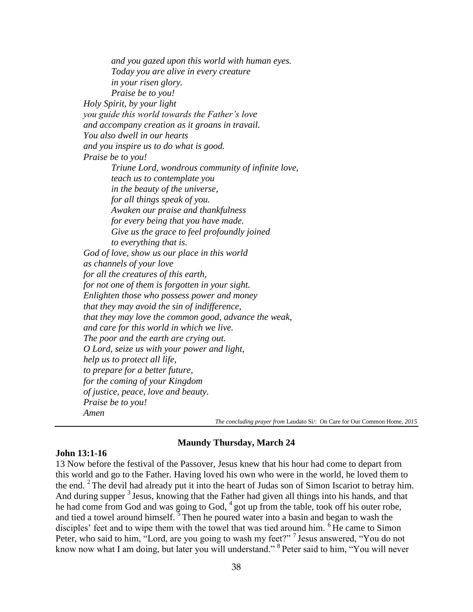*and you gazed upon this world with human eyes. Today you are alive in every creature in your risen glory. Praise be to you! Holy Spirit, by your light you guide this world towards the Father's love and accompany creation as it groans in travail. You also dwell in our hearts and you inspire us to do what is good. Praise be to you! Triune Lord, wondrous community of infinite love, teach us to contemplate you in the beauty of the universe, for all things speak of you. Awaken our praise and thankfulness for every being that you have made. Give us the grace to feel profoundly joined to everything that is. God of love, show us our place in this world as channels of your love for all the creatures of this earth, for not one of them is forgotten in your sight. Enlighten those who possess power and money that they may avoid the sin of indifference, that they may love the common good, advance the weak, and care for this world in which we live. The poor and the earth are crying out. O Lord, seize us with your power and light, help us to protect all life, to prepare for a better future, for the coming of your Kingdom of justice, peace, love and beauty. Praise be to you! Amen*

*The concluding prayer from* Laudato Si/: On Care for Our Common Home, *2015*

### **Maundy Thursday, March 24**

#### **John 13:1-16**

13 Now before the festival of the Passover, Jesus knew that his hour had come to depart from this world and go to the Father. Having loved his own who were in the world, he loved them to the end. <sup>2</sup> The devil had already put it into the heart of Judas son of Simon Iscariot to betray him. And during supper<sup>3</sup> Jesus, knowing that the Father had given all things into his hands, and that he had come from God and was going to God,  $4$  got up from the table, took off his outer robe, and tied a towel around himself.  $5$  Then he poured water into a basin and began to wash the disciples' feet and to wipe them with the towel that was tied around him. <sup>6</sup> He came to Simon Peter, who said to him, "Lord, are you going to wash my feet?"<sup>7</sup> Jesus answered, "You do not know now what I am doing, but later you will understand." <sup>8</sup> Peter said to him, "You will never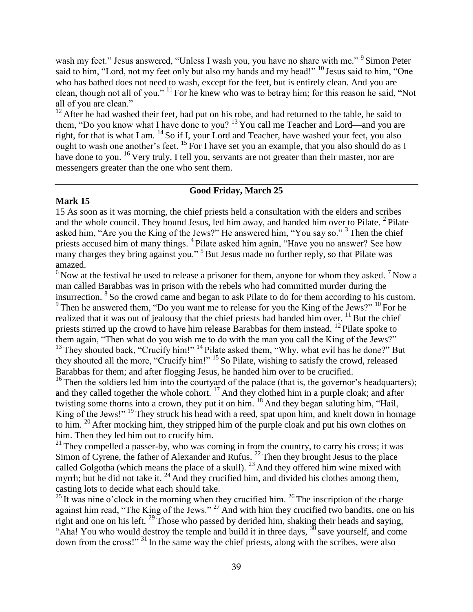wash my feet." Jesus answered, "Unless I wash you, you have no share with me." <sup>9</sup> Simon Peter said to him, "Lord, not my feet only but also my hands and my head!" <sup>10</sup> Jesus said to him, "One who has bathed does not need to wash, except for the feet, but is entirely clean. And you are clean, though not all of you." <sup>11</sup> For he knew who was to betray him; for this reason he said, "Not all of you are clean."

<sup>12</sup> After he had washed their feet, had put on his robe, and had returned to the table, he said to them, "Do you know what I have done to you?<sup>13</sup> You call me Teacher and Lord—and you are right, for that is what I am. <sup>14</sup> So if I, your Lord and Teacher, have washed your feet, you also ought to wash one another's feet. <sup>15</sup> For I have set you an example, that you also should do as I have done to you. <sup>16</sup> Very truly, I tell you, servants are not greater than their master, nor are messengers greater than the one who sent them.

### **Good Friday, March 25**

#### **Mark 15**

15 As soon as it was morning, the chief priests held a consultation with the elders and scribes and the whole council. They bound Jesus, led him away, and handed him over to Pilate. <sup>2</sup> Pilate asked him, "Are you the King of the Jews?" He answered him, "You say so." <sup>3</sup> Then the chief priests accused him of many things. <sup>4</sup> Pilate asked him again, "Have you no answer? See how many charges they bring against you."<sup>5</sup> But Jesus made no further reply, so that Pilate was amazed.

 $6$  Now at the festival he used to release a prisoner for them, anyone for whom they asked. <sup>7</sup> Now a man called Barabbas was in prison with the rebels who had committed murder during the insurrection. <sup>8</sup> So the crowd came and began to ask Pilate to do for them according to his custom.  $9^9$ Then he answered them, "Do you want me to release for you the King of the Jews?"  $^{10}$  For he realized that it was out of jealousy that the chief priests had handed him over. <sup>11</sup> But the chief priests stirred up the crowd to have him release Barabbas for them instead. <sup>12</sup> Pilate spoke to them again, "Then what do you wish me to do with the man you call the King of the Jews?"  $^{13}$  They shouted back, "Crucify him!"  $^{14}$  Pilate asked them, "Why, what evil has he done?" But they shouted all the more, "Crucify him!" <sup>15</sup> So Pilate, wishing to satisfy the crowd, released Barabbas for them; and after flogging Jesus, he handed him over to be crucified.

<sup>16</sup> Then the soldiers led him into the courtyard of the palace (that is, the governor's headquarters); and they called together the whole cohort.  $^{17}$  And they clothed him in a purple cloak; and after twisting some thorns into a crown, they put it on him. <sup>18</sup> And they began saluting him, "Hail, King of the Jews!" <sup>19</sup> They struck his head with a reed, spat upon him, and knelt down in homage to him. <sup>20</sup> After mocking him, they stripped him of the purple cloak and put his own clothes on him. Then they led him out to crucify him.

 $21$ <sup>21</sup> They compelled a passer-by, who was coming in from the country, to carry his cross; it was Simon of Cyrene, the father of Alexander and Rufus.  $22$  Then they brought Jesus to the place called Golgotha (which means the place of a skull).  $^{23}$  And they offered him wine mixed with myrrh; but he did not take it.  $^{24}$  And they crucified him, and divided his clothes among them, casting lots to decide what each should take.

<sup>25</sup> It was nine o'clock in the morning when they crucified him. <sup>26</sup> The inscription of the charge against him read, "The King of the Jews."<sup>27</sup> And with him they crucified two bandits, one on his right and one on his left. <sup>29</sup> Those who passed by derided him, shaking their heads and saying, "Aha! You who would destroy the temple and build it in three days,  $\frac{30}{10}$  save yourself, and come down from the cross!" <sup>31</sup> In the same way the chief priests, along with the scribes, were also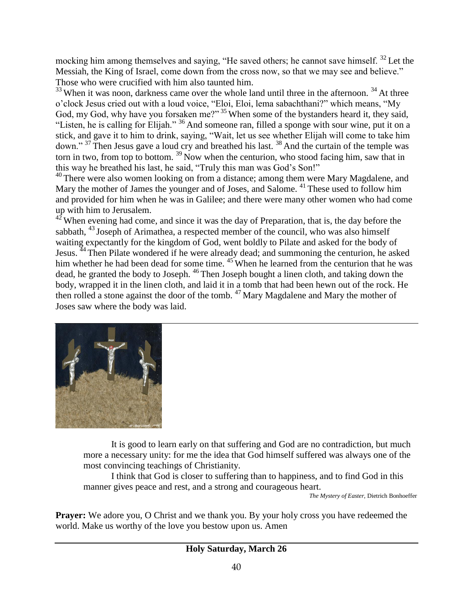mocking him among themselves and saying, "He saved others; he cannot save himself. <sup>32</sup> Let the Messiah, the King of Israel, come down from the cross now, so that we may see and believe." Those who were crucified with him also taunted him.

 $33$  When it was noon, darkness came over the whole land until three in the afternoon.  $34$  At three o'clock Jesus cried out with a loud voice, "Eloi, Eloi, lema sabachthani?" which means, "My God, my God, why have you forsaken me?"<sup>35</sup> When some of the bystanders heard it, they said, "Listen, he is calling for Elijah." <sup>36</sup> And someone ran, filled a sponge with sour wine, put it on a stick, and gave it to him to drink, saying, "Wait, let us see whether Elijah will come to take him down." <sup>37</sup> Then Jesus gave a loud cry and breathed his last. <sup>38</sup> And the curtain of the temple was torn in two, from top to bottom.  $39$  Now when the centurion, who stood facing him, saw that in this way he breathed his last, he said, "Truly this man was God's Son!"

<sup>40</sup> There were also women looking on from a distance; among them were Mary Magdalene, and Mary the mother of James the younger and of Joses, and Salome. <sup>41</sup> These used to follow him and provided for him when he was in Galilee; and there were many other women who had come up with him to Jerusalem.

 $42$ <sup>42</sup> When evening had come, and since it was the day of Preparation, that is, the day before the sabbath, <sup>43</sup> Joseph of Arimathea, a respected member of the council, who was also himself waiting expectantly for the kingdom of God, went boldly to Pilate and asked for the body of Jesus. <sup>44</sup> Then Pilate wondered if he were already dead; and summoning the centurion, he asked him whether he had been dead for some time. <sup>45</sup> When he learned from the centurion that he was dead, he granted the body to Joseph. <sup>46</sup> Then Joseph bought a linen cloth, and taking down the body, wrapped it in the linen cloth, and laid it in a tomb that had been hewn out of the rock. He then rolled a stone against the door of the tomb. <sup>47</sup> Mary Magdalene and Mary the mother of Joses saw where the body was laid.



It is good to learn early on that suffering and God are no contradiction, but much more a necessary unity: for me the idea that God himself suffered was always one of the most convincing teachings of Christianity.

I think that God is closer to suffering than to happiness, and to find God in this manner gives peace and rest, and a strong and courageous heart.

*The Mystery of Easter,* Dietrich Bonhoeffer

**Prayer:** We adore you, O Christ and we thank you. By your holy cross you have redeemed the world. Make us worthy of the love you bestow upon us. Amen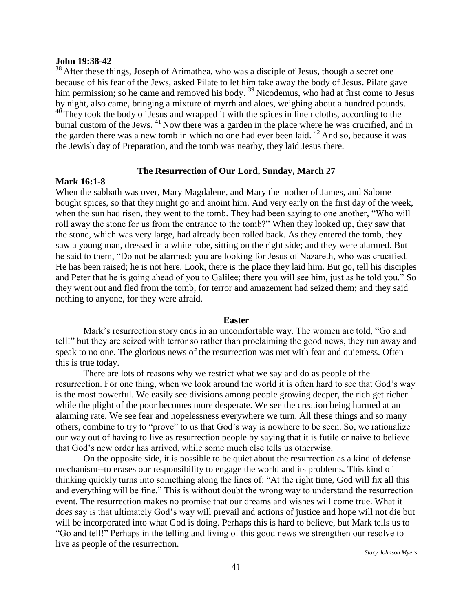#### **John 19:38-42**

<sup>38</sup> After these things, Joseph of Arimathea, who was a disciple of Jesus, though a secret one because of his fear of the Jews, asked Pilate to let him take away the body of Jesus. Pilate gave him permission; so he came and removed his body.<sup>39</sup> Nicodemus, who had at first come to Jesus by night, also came, bringing a mixture of myrrh and aloes, weighing about a hundred pounds. <sup>40</sup> They took the body of Jesus and wrapped it with the spices in linen cloths, according to the burial custom of the Jews. <sup>41</sup> Now there was a garden in the place where he was crucified, and in the garden there was a new tomb in which no one had ever been laid.  $42$  And so, because it was the Jewish day of Preparation, and the tomb was nearby, they laid Jesus there.

#### **The Resurrection of Our Lord, Sunday, March 27**

#### **Mark 16:1-8**

When the sabbath was over, Mary Magdalene, and Mary the mother of James, and Salome bought spices, so that they might go and anoint him. And very early on the first day of the week, when the sun had risen, they went to the tomb. They had been saying to one another, "Who will roll away the stone for us from the entrance to the tomb?" When they looked up, they saw that the stone, which was very large, had already been rolled back. As they entered the tomb, they saw a young man, dressed in a white robe, sitting on the right side; and they were alarmed. But he said to them, "Do not be alarmed; you are looking for Jesus of Nazareth, who was crucified. He has been raised; he is not here. Look, there is the place they laid him. But go, tell his disciples and Peter that he is going ahead of you to Galilee; there you will see him, just as he told you." So they went out and fled from the tomb, for terror and amazement had seized them; and they said nothing to anyone, for they were afraid.

#### **Easter**

Mark's resurrection story ends in an uncomfortable way. The women are told, "Go and tell!" but they are seized with terror so rather than proclaiming the good news, they run away and speak to no one. The glorious news of the resurrection was met with fear and quietness. Often this is true today.

There are lots of reasons why we restrict what we say and do as people of the resurrection. For one thing, when we look around the world it is often hard to see that God's way is the most powerful. We easily see divisions among people growing deeper, the rich get richer while the plight of the poor becomes more desperate. We see the creation being harmed at an alarming rate. We see fear and hopelessness everywhere we turn. All these things and so many others, combine to try to "prove" to us that God's way is nowhere to be seen. So, we rationalize our way out of having to live as resurrection people by saying that it is futile or naive to believe that God's new order has arrived, while some much else tells us otherwise.

On the opposite side, it is possible to be quiet about the resurrection as a kind of defense mechanism--to erases our responsibility to engage the world and its problems. This kind of thinking quickly turns into something along the lines of: "At the right time, God will fix all this and everything will be fine." This is without doubt the wrong way to understand the resurrection event. The resurrection makes no promise that our dreams and wishes will come true. What it *does* say is that ultimately God's way will prevail and actions of justice and hope will not die but will be incorporated into what God is doing. Perhaps this is hard to believe, but Mark tells us to "Go and tell!" Perhaps in the telling and living of this good news we strengthen our resolve to live as people of the resurrection.